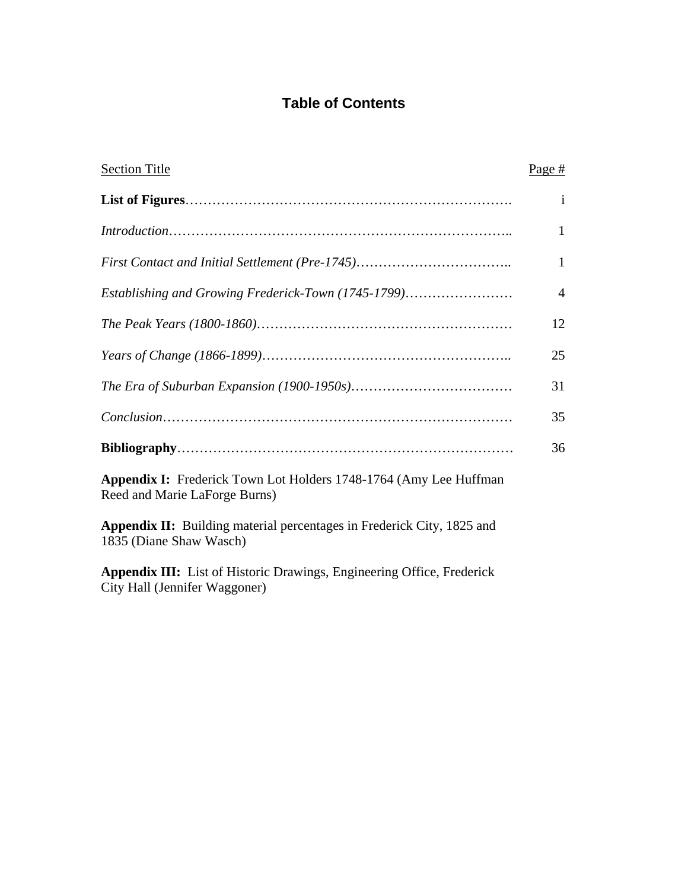# **Table of Contents**

| <b>Section Title</b>                                                                                           | Page #       |
|----------------------------------------------------------------------------------------------------------------|--------------|
|                                                                                                                | $\mathbf{1}$ |
|                                                                                                                | $\mathbf{1}$ |
|                                                                                                                | 1            |
| Establishing and Growing Frederick-Town (1745-1799)                                                            | 4            |
|                                                                                                                | 12           |
|                                                                                                                | 25           |
|                                                                                                                | 31           |
|                                                                                                                | 35           |
|                                                                                                                | 36           |
| <b>Appendix I:</b> Frederick Town Lot Holders 1748-1764 (Amy Lee Huffman<br>Reed and Marie LaForge Burns)      |              |
| Appendix II: Building material percentages in Frederick City, 1825 and<br>1835 (Diane Shaw Wasch)              |              |
| <b>Appendix III:</b> List of Historic Drawings, Engineering Office, Frederick<br>City Hall (Jennifer Waggoner) |              |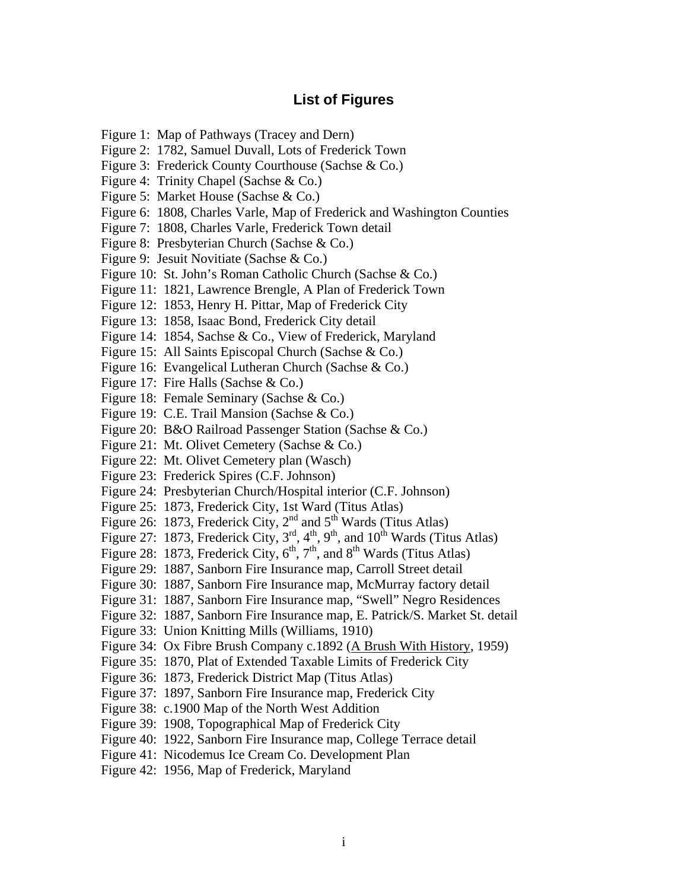# **List of Figures**

- Figure 1: Map of Pathways (Tracey and Dern)
- Figure 2: 1782, Samuel Duvall, Lots of Frederick Town
- Figure 3: Frederick County Courthouse (Sachse & Co.)
- Figure 4: Trinity Chapel (Sachse & Co.)
- Figure 5: Market House (Sachse & Co.)
- Figure 6: 1808, Charles Varle, Map of Frederick and Washington Counties
- Figure 7: 1808, Charles Varle, Frederick Town detail
- Figure 8: Presbyterian Church (Sachse & Co.)
- Figure 9: Jesuit Novitiate (Sachse & Co.)
- Figure 10: St. John's Roman Catholic Church (Sachse & Co.)
- Figure 11: 1821, Lawrence Brengle, A Plan of Frederick Town
- Figure 12: 1853, Henry H. Pittar, Map of Frederick City
- Figure 13: 1858, Isaac Bond, Frederick City detail
- Figure 14: 1854, Sachse & Co., View of Frederick, Maryland
- Figure 15: All Saints Episcopal Church (Sachse & Co.)
- Figure 16: Evangelical Lutheran Church (Sachse & Co.)
- Figure 17: Fire Halls (Sachse & Co.)
- Figure 18: Female Seminary (Sachse & Co.)
- Figure 19: C.E. Trail Mansion (Sachse & Co.)
- Figure 20: B&O Railroad Passenger Station (Sachse & Co.)
- Figure 21: Mt. Olivet Cemetery (Sachse & Co.)
- Figure 22: Mt. Olivet Cemetery plan (Wasch)
- Figure 23: Frederick Spires (C.F. Johnson)
- Figure 24: Presbyterian Church/Hospital interior (C.F. Johnson)
- Figure 25: 1873, Frederick City, 1st Ward (Titus Atlas)
- Figure 26: 1873, Frederick City,  $2<sup>nd</sup>$  and  $5<sup>th</sup>$  Wards (Titus Atlas)
- Figure 27: 1873, Frederick City,  $3<sup>rd</sup>$ ,  $4<sup>th</sup>$ ,  $9<sup>th</sup>$ , and  $10<sup>th</sup>$  Wards (Titus Atlas)
- Figure 28: 1873, Frederick City,  $6^{th}$ ,  $7^{th}$ , and  $8^{th}$  Wards (Titus Atlas)
- Figure 29: 1887, Sanborn Fire Insurance map, Carroll Street detail
- Figure 30: 1887, Sanborn Fire Insurance map, McMurray factory detail
- Figure 31: 1887, Sanborn Fire Insurance map, "Swell" Negro Residences
- Figure 32: 1887, Sanborn Fire Insurance map, E. Patrick/S. Market St. detail
- Figure 33: Union Knitting Mills (Williams, 1910)
- Figure 34: Ox Fibre Brush Company c.1892 (A Brush With History, 1959)
- Figure 35: 1870, Plat of Extended Taxable Limits of Frederick City
- Figure 36: 1873, Frederick District Map (Titus Atlas)
- Figure 37: 1897, Sanborn Fire Insurance map, Frederick City
- Figure 38: c.1900 Map of the North West Addition
- Figure 39: 1908, Topographical Map of Frederick City
- Figure 40: 1922, Sanborn Fire Insurance map, College Terrace detail
- Figure 41: Nicodemus Ice Cream Co. Development Plan
- Figure 42: 1956, Map of Frederick, Maryland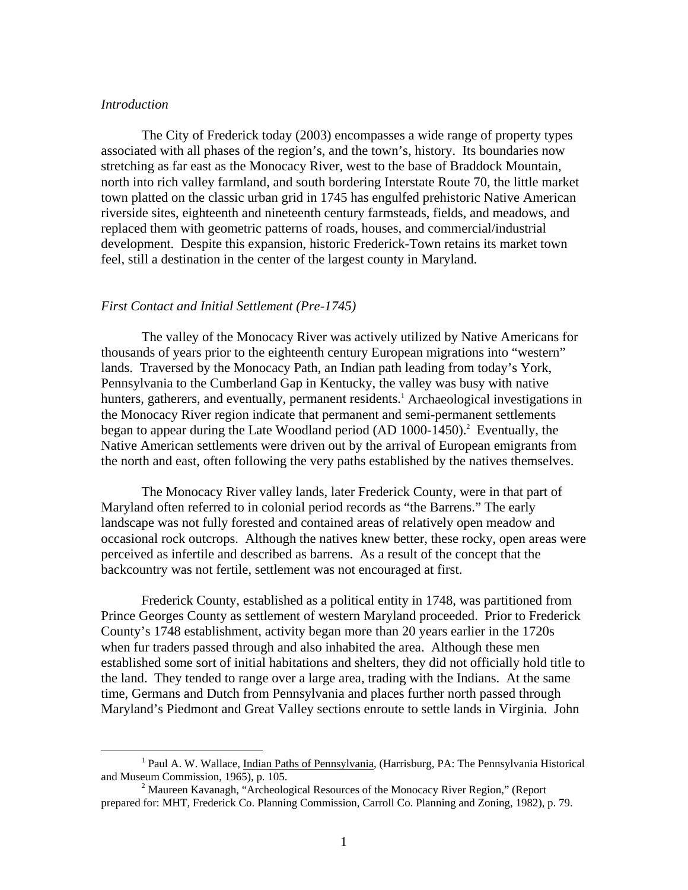#### *Introduction*

The City of Frederick today (2003) encompasses a wide range of property types associated with all phases of the region's, and the town's, history. Its boundaries now stretching as far east as the Monocacy River, west to the base of Braddock Mountain, north into rich valley farmland, and south bordering Interstate Route 70, the little market town platted on the classic urban grid in 1745 has engulfed prehistoric Native American riverside sites, eighteenth and nineteenth century farmsteads, fields, and meadows, and replaced them with geometric patterns of roads, houses, and commercial/industrial development. Despite this expansion, historic Frederick-Town retains its market town feel, still a destination in the center of the largest county in Maryland.

#### *First Contact and Initial Settlement (Pre-1745)*

The valley of the Monocacy River was actively utilized by Native Americans for thousands of years prior to the eighteenth century European migrations into "western" lands. Traversed by the Monocacy Path, an Indian path leading from today's York, Pennsylvania to the Cumberland Gap in Kentucky, the valley was busy with native hunters, gatherers, and eventually, permanent residents.<sup>[1](#page-2-0)</sup> Archaeological investigations in the Monocacy River region indicate that permanent and semi-permanent settlements began to appear during the Late Woodland period (AD 1000-1450).<sup>[2](#page-2-1)</sup> Eventually, the Native American settlements were driven out by the arrival of European emigrants from the north and east, often following the very paths established by the natives themselves.

The Monocacy River valley lands, later Frederick County, were in that part of Maryland often referred to in colonial period records as "the Barrens." The early landscape was not fully forested and contained areas of relatively open meadow and occasional rock outcrops. Although the natives knew better, these rocky, open areas were perceived as infertile and described as barrens. As a result of the concept that the backcountry was not fertile, settlement was not encouraged at first.

Frederick County, established as a political entity in 1748, was partitioned from Prince Georges County as settlement of western Maryland proceeded. Prior to Frederick County's 1748 establishment, activity began more than 20 years earlier in the 1720s when fur traders passed through and also inhabited the area. Although these men established some sort of initial habitations and shelters, they did not officially hold title to the land. They tended to range over a large area, trading with the Indians. At the same time, Germans and Dutch from Pennsylvania and places further north passed through Maryland's Piedmont and Great Valley sections enroute to settle lands in Virginia. John

<span id="page-2-0"></span><sup>&</sup>lt;sup>1</sup> Paul A. W. Wallace, *Indian Paths of Pennsylvania*, (Harrisburg, PA: The Pennsylvania Historical and Museum Commission, 1965), p. 105. 2

<span id="page-2-1"></span><sup>&</sup>lt;sup>2</sup> Maureen Kavanagh, "Archeological Resources of the Monocacy River Region," (Report prepared for: MHT, Frederick Co. Planning Commission, Carroll Co. Planning and Zoning, 1982), p. 79.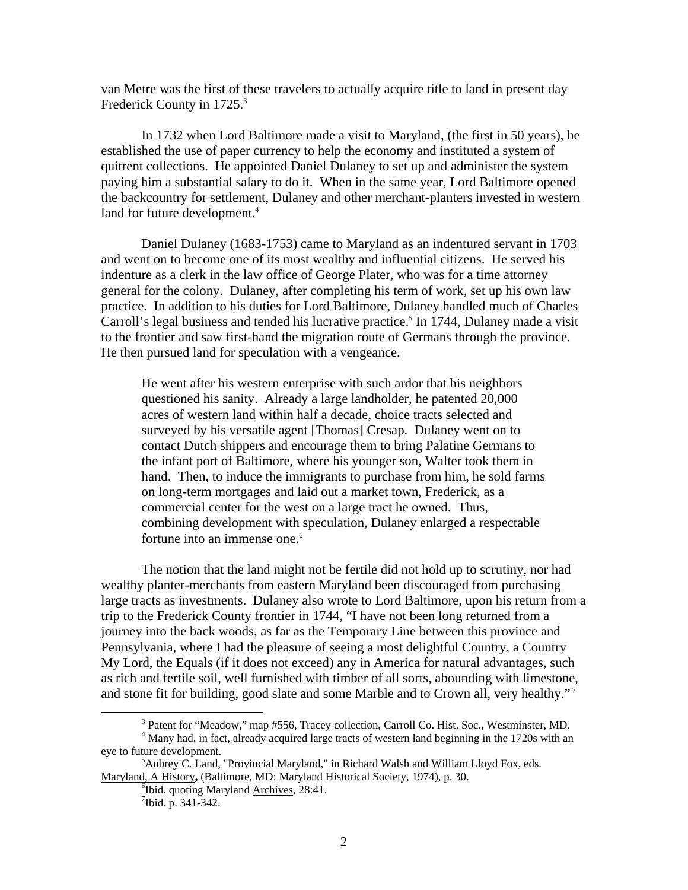van Metre was the first of these travelers to actually acquire title to land in present day FrederickCounty in 1725.<sup>3</sup>

In 1732 when Lord Baltimore made a visit to Maryland, (the first in 50 years), he established the use of paper currency to help the economy and instituted a system of quitrent collections. He appointed Daniel Dulaney to set up and administer the system paying him a substantial salary to do it. When in the same year, Lord Baltimore opened the backcountry for settlement, Dulaney and other merchant-planters invested in western land for future development.<sup>4</sup>

Daniel Dulaney (1683-1753) came to Maryland as an indentured servant in 1703 and went on to become one of its most wealthy and influential citizens. He served his indenture as a clerk in the law office of George Plater, who was for a time attorney general for the colony. Dulaney, after completing his term of work, set up his own law practice. In addition to his duties for Lord Baltimore, Dulaney handled much of Charles Carroll's legal business and tended his lucrative practice.<sup>5</sup> In 1744, Dulaney made a visit to the frontier and saw first-hand the migration route of Germans through the province. He then pursued land for speculation with a vengeance.

He went after his western enterprise with such ardor that his neighbors questioned his sanity. Already a large landholder, he patented 20,000 acres of western land within half a decade, choice tracts selected and surveyed by his versatile agent [Thomas] Cresap. Dulaney went on to contact Dutch shippers and encourage them to bring Palatine Germans to the infant port of Baltimore, where his younger son, Walter took them in hand. Then, to induce the immigrants to purchase from him, he sold farms on long-term mortgages and laid out a market town, Frederick, as a commercial center for the west on a large tract he owned. Thus, combining development with speculation, Dulaney enlarged a respectable fortune into an immense one.<sup>6</sup>

The notion that the land might not be fertile did not hold up to scrutiny, nor had wealthy planter-merchants from eastern Maryland been discouraged from purchasing large tracts as investments. Dulaney also wrote to Lord Baltimore, upon his return from a trip to the Frederick County frontier in 1744, "I have not been long returned from a journey into the back woods, as far as the Temporary Line between this province and Pennsylvania, where I had the pleasure of seeing a most delightful Country, a Country My Lord, the Equals (if it does not exceed) any in America for natural advantages, such as rich and fertile soil, well furnished with timber of all sorts, abounding with limestone, and stone fit for building, good slate and some Marble and to Crown all, very healthy."<sup>7</sup>

<span id="page-3-0"></span> <sup>3</sup> <sup>3</sup> Patent for "Meadow," map #556, Tracey collection, Carroll Co. Hist. Soc., Westminster, MD.

<span id="page-3-1"></span><sup>&</sup>lt;sup>4</sup> Many had, in fact, already acquired large tracts of western land beginning in the 1720s with an eye to future development.

 ${}^5$ Aubrey C. Land, "Provincial Maryland," in Richard Walsh and William Lloyd Fox, eds. Maryland, A History**,** (Baltimore, MD: Maryland Historical Society, 1974), p. 30. 6

<span id="page-3-3"></span><span id="page-3-2"></span><sup>&</sup>lt;sup>6</sup>Ibid. quoting Maryland Archives, 28:41.

<span id="page-3-4"></span> $7$ Ibid. p. 341-342.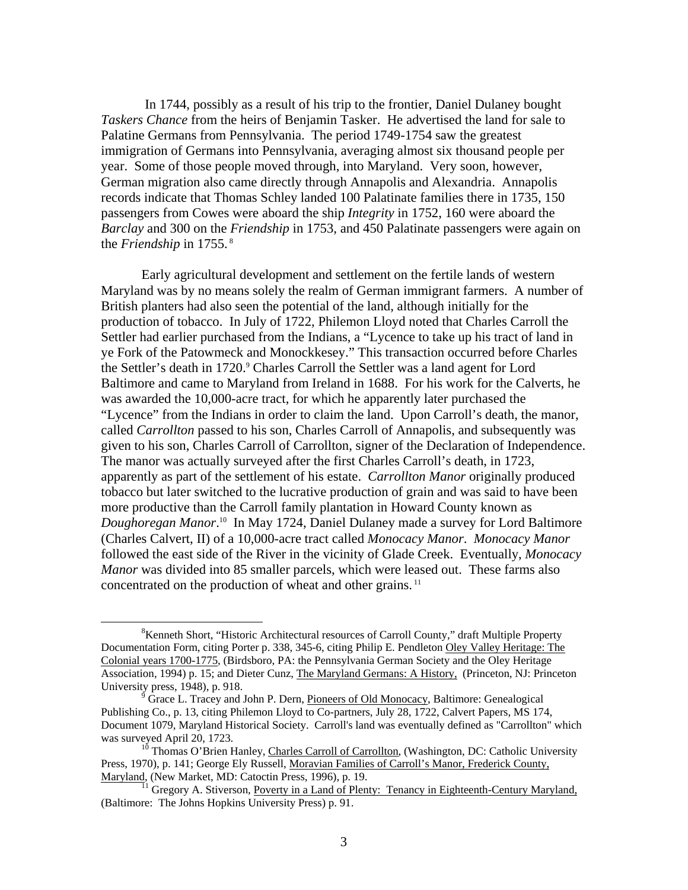In 1744, possibly as a result of his trip to the frontier, Daniel Dulaney bought *Taskers Chance* from the heirs of Benjamin Tasker. He advertised the land for sale to Palatine Germans from Pennsylvania. The period 1749-1754 saw the greatest immigration of Germans into Pennsylvania, averaging almost six thousand people per year. Some of those people moved through, into Maryland. Very soon, however, German migration also came directly through Annapolis and Alexandria. Annapolis records indicate that Thomas Schley landed 100 Palatinate families there in 1735, 150 passengers from Cowes were aboard the ship *Integrity* in 1752, 160 were aboard the *Barclay* and 300 on the *Friendship* in 1753, and 450 Palatinate passengers were again on the *Friendship* in 1755. [8](#page-4-0) 

Early agricultural development and settlement on the fertile lands of western Maryland was by no means solely the realm of German immigrant farmers. A number of British planters had also seen the potential of the land, although initially for the production of tobacco. In July of 1722, Philemon Lloyd noted that Charles Carroll the Settler had earlier purchased from the Indians, a "Lycence to take up his tract of land in ye Fork of the Patowmeck and Monockkesey." This transaction occurred before Charles the Settler's death in 1720.<sup>[9](#page-4-1)</sup> Charles Carroll the Settler was a land agent for Lord Baltimore and came to Maryland from Ireland in 1688. For his work for the Calverts, he was awarded the 10,000-acre tract, for which he apparently later purchased the "Lycence" from the Indians in order to claim the land. Upon Carroll's death, the manor, called *Carrollton* passed to his son, Charles Carroll of Annapolis, and subsequently was given to his son, Charles Carroll of Carrollton, signer of the Declaration of Independence. The manor was actually surveyed after the first Charles Carroll's death, in 1723, apparently as part of the settlement of his estate. *Carrollton Manor* originally produced tobacco but later switched to the lucrative production of grain and was said to have been more productive than the Carroll family plantation in Howard County known as *Doughoregan Manor*. [10](#page-4-2) In May 1724, Daniel Dulaney made a survey for Lord Baltimore (Charles Calvert, II) of a 10,000-acre tract called *Monocacy Manor*. *Monocacy Manor* followed the east side of the River in the vicinity of Glade Creek. Eventually, *Monocacy Manor* was divided into 85 smaller parcels, which were leased out. These farms also concentrated on the production of wheat and other grains.<sup>11</sup>

<span id="page-4-0"></span> $\frac{1}{8}$  $K$ enneth Short, "Historic Architectural resources of Carroll County," draft Multiple Property Documentation Form, citing Porter p. 338, 345-6, citing Philip E. Pendleton Oley Valley Heritage: The Colonial years 1700-1775, (Birdsboro, PA: the Pennsylvania German Society and the Oley Heritage Association, 1994) p. 15; and Dieter Cunz, The Maryland Germans: A History, (Princeton, NJ: Princeton University press, 1948), p. 918.

<span id="page-4-1"></span>Grace L. Tracey and John P. Dern, Pioneers of Old Monocacy, Baltimore: Genealogical Publishing Co., p. 13, citing Philemon Lloyd to Co-partners, July 28, 1722, Calvert Papers, MS 174, Document 1079, Maryland Historical Society. Carroll's land was eventually defined as "Carrollton" which was surveyed April 20, 1723.<br><sup>10</sup> Thomas O'Brien Hanley, Charles Carroll of Carrollton, (Washington, DC: Catholic University

<span id="page-4-2"></span>Press, 1970), p. 141; George Ely Russell, Moravian Families of Carroll's Manor, Frederick County, Maryland, (New Market, MD: Catoctin Press, 1996), p. 19.<br><sup>11</sup> Gregory A. Stiverson, <u>Poverty in a Land of Plenty: Tenancy in Eighteenth-Century Maryland,</u>

<span id="page-4-3"></span><sup>(</sup>Baltimore: The Johns Hopkins University Press) p. 91.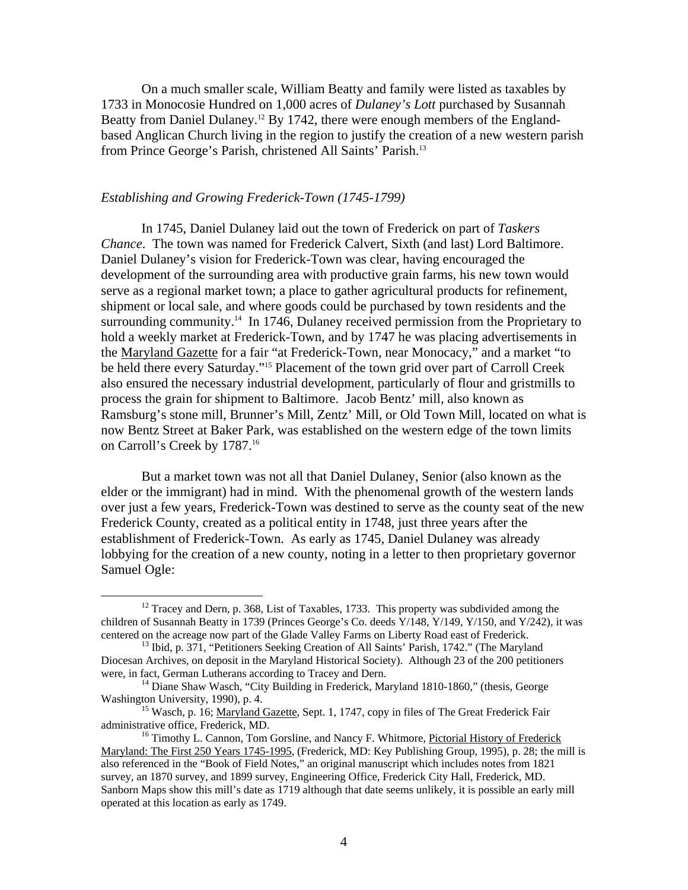On a much smaller scale, William Beatty and family were listed as taxables by 1733 in Monocosie Hundred on 1,000 acres of *Dulaney's Lott* purchased by Susannah Beatty from Daniel Dulaney.<sup>12</sup> By 1742, there were enough members of the Englandbased Anglican Church living in the region to justify the creation of a new western parish from Prince George's Parish, christened All Saints' Parish[.13](#page-5-1)

## *Establishing and Growing Frederick-Town (1745-1799)*

In 1745, Daniel Dulaney laid out the town of Frederick on part of *Taskers Chance*. The town was named for Frederick Calvert, Sixth (and last) Lord Baltimore. Daniel Dulaney's vision for Frederick-Town was clear, having encouraged the development of the surrounding area with productive grain farms, his new town would serve as a regional market town; a place to gather agricultural products for refinement, shipment or local sale, and where goods could be purchased by town residents and the surrounding community.<sup>14</sup> In 1746, Dulaney received permission from the Proprietary to hold a weekly market at Frederick-Town, and by 1747 he was placing advertisements in the Maryland Gazette for a fair "at Frederick-Town, near Monocacy," and a market "to be held there every Saturday."[15](#page-5-3) Placement of the town grid over part of Carroll Creek also ensured the necessary industrial development, particularly of flour and gristmills to process the grain for shipment to Baltimore. Jacob Bentz' mill, also known as Ramsburg's stone mill, Brunner's Mill, Zentz' Mill, or Old Town Mill, located on what is now Bentz Street at Baker Park, was established on the western edge of the town limits on Carroll's Creek by 1787.<sup>16</sup>

But a market town was not all that Daniel Dulaney, Senior (also known as the elder or the immigrant) had in mind. With the phenomenal growth of the western lands over just a few years, Frederick-Town was destined to serve as the county seat of the new Frederick County, created as a political entity in 1748, just three years after the establishment of Frederick-Town. As early as 1745, Daniel Dulaney was already lobbying for the creation of a new county, noting in a letter to then proprietary governor Samuel Ogle:

<span id="page-5-0"></span> $12$  Tracey and Dern, p. 368, List of Taxables, 1733. This property was subdivided among the children of Susannah Beatty in 1739 (Princes George's Co. deeds Y/148, Y/149, Y/150, and Y/242), it was centered on the acreage now part of the Glade Valley Farms on Liberty Road east of Frederick. 13 Ibid, p. 371, "Petitioners Seeking Creation of All Saints' Parish, 1742." (The Maryland

<span id="page-5-1"></span>Diocesan Archives, on deposit in the Maryland Historical Society). Although 23 of the 200 petitioners

<span id="page-5-2"></span>were, in fact, German Lutherans according to Tracey and Dern.<br><sup>14</sup> Diane Shaw Wasch, "City Building in Frederick, Maryland 1810-1860," (thesis, George Washington University, 1990), p. 4.

<span id="page-5-3"></span><sup>&</sup>lt;sup>15</sup> Wasch, p. 16; <u>Maryland Gazette</u>, Sept. 1, 1747, copy in files of The Great Frederick Fair administrative office, Frederick, MD.

<span id="page-5-4"></span> $16$  Timothy L. Cannon, Tom Gorsline, and Nancy F. Whitmore, Pictorial History of Frederick Maryland: The First 250 Years 1745-1995, (Frederick, MD: Key Publishing Group, 1995), p. 28; the mill is also referenced in the "Book of Field Notes," an original manuscript which includes notes from 1821 survey, an 1870 survey, and 1899 survey, Engineering Office, Frederick City Hall, Frederick, MD. Sanborn Maps show this mill's date as 1719 although that date seems unlikely, it is possible an early mill operated at this location as early as 1749.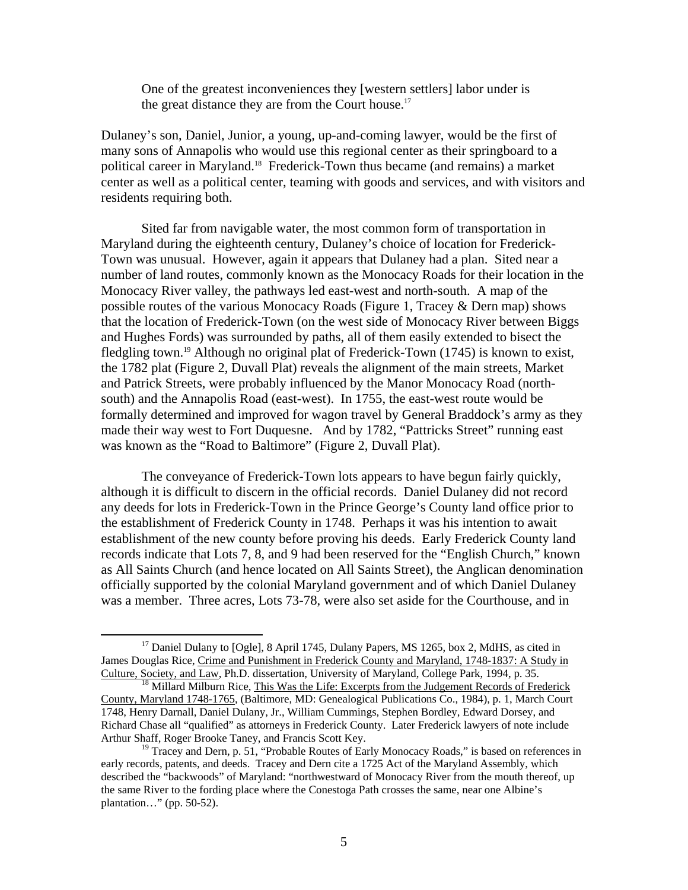One of the greatest inconveniences they [western settlers] labor under is the great distance they are from the Court house.<sup>[17](#page-6-0)</sup>

Dulaney's son, Daniel, Junior, a young, up-and-coming lawyer, would be the first of many sons of Annapolis who would use this regional center as their springboard to a political career in Maryland.[18](#page-6-1) Frederick-Town thus became (and remains) a market center as well as a political center, teaming with goods and services, and with visitors and residents requiring both.

Sited far from navigable water, the most common form of transportation in Maryland during the eighteenth century, Dulaney's choice of location for Frederick-Town was unusual. However, again it appears that Dulaney had a plan. Sited near a number of land routes, commonly known as the Monocacy Roads for their location in the Monocacy River valley, the pathways led east-west and north-south. A map of the possible routes of the various Monocacy Roads (Figure 1, Tracey & Dern map) shows that the location of Frederick-Town (on the west side of Monocacy River between Biggs and Hughes Fords) was surrounded by paths, all of them easily extended to bisect the fledgling town.[19 A](#page-6-2)lthough no original plat of Frederick-Town (1745) is known to exist, the 1782 plat (Figure 2, Duvall Plat) reveals the alignment of the main streets, Market and Patrick Streets, were probably influenced by the Manor Monocacy Road (northsouth) and the Annapolis Road (east-west). In 1755, the east-west route would be formally determined and improved for wagon travel by General Braddock's army as they made their way west to Fort Duquesne. And by 1782, "Pattricks Street" running east was known as the "Road to Baltimore" (Figure 2, Duvall Plat).

The conveyance of Frederick-Town lots appears to have begun fairly quickly, although it is difficult to discern in the official records. Daniel Dulaney did not record any deeds for lots in Frederick-Town in the Prince George's County land office prior to the establishment of Frederick County in 1748. Perhaps it was his intention to await establishment of the new county before proving his deeds. Early Frederick County land records indicate that Lots 7, 8, and 9 had been reserved for the "English Church," known as All Saints Church (and hence located on All Saints Street), the Anglican denomination officially supported by the colonial Maryland government and of which Daniel Dulaney was a member. Three acres, Lots 73-78, were also set aside for the Courthouse, and in

<span id="page-6-0"></span> $17$  Daniel Dulany to [Ogle], 8 April 1745, Dulany Papers, MS 1265, box 2, MdHS, as cited in James Douglas Rice, Crime and Punishment in Frederick County and Maryland, 1748-1837: A Study in Culture, Society, and Law, Ph.D. dissertation, University of Maryland, College Park, 1994, p. 35.<br><sup>18</sup> Millard Milburn Rice, This Was the Life: Excerpts from the Judgement Records of Frederick

<span id="page-6-1"></span>County, Maryland 1748-1765, (Baltimore, MD: Genealogical Publications Co., 1984), p. 1, March Court 1748, Henry Darnall, Daniel Dulany, Jr., William Cummings, Stephen Bordley, Edward Dorsey, and Richard Chase all "qualified" as attorneys in Frederick County. Later Frederick lawyers of note include Arthur Shaff, Roger Brooke Taney, and Francis Scott Key.<br><sup>19</sup> Tracey and Dern, p. 51, "Probable Routes of Early Monocacy Roads," is based on references in

<span id="page-6-2"></span>early records, patents, and deeds. Tracey and Dern cite a 1725 Act of the Maryland Assembly, which described the "backwoods" of Maryland: "northwestward of Monocacy River from the mouth thereof, up the same River to the fording place where the Conestoga Path crosses the same, near one Albine's plantation…" (pp. 50-52).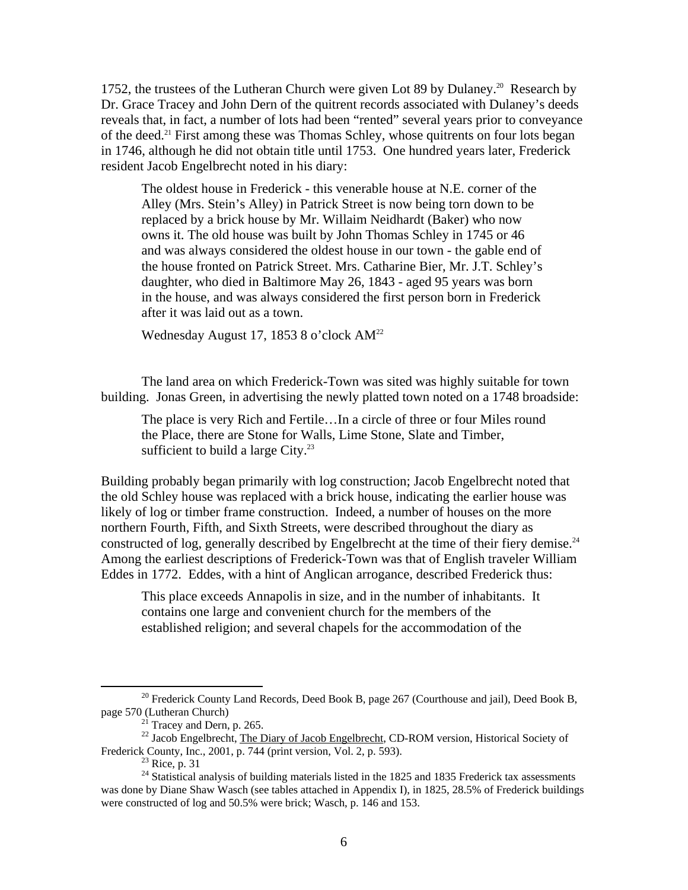1752, the trustees of the Lutheran Church were given Lot 89 by Dulaney.<sup>20</sup> Research by Dr. Grace Tracey and John Dern of the quitrent records associated with Dulaney's deeds reveals that, in fact, a number of lots had been "rented" several years prior to conveyance of the deed[.21 F](#page-7-1)irst among these was Thomas Schley, whose quitrents on four lots began in 1746, although he did not obtain title until 1753. One hundred years later, Frederick resident Jacob Engelbrecht noted in his diary:

The oldest house in Frederick - this venerable house at N.E. corner of the Alley (Mrs. Stein's Alley) in Patrick Street is now being torn down to be replaced by a brick house by Mr. Willaim Neidhardt (Baker) who now owns it. The old house was built by John Thomas Schley in 1745 or 46 and was always considered the oldest house in our town - the gable end of the house fronted on Patrick Street. Mrs. Catharine Bier, Mr. J.T. Schley's daughter, who died in Baltimore May 26, 1843 - aged 95 years was born in the house, and was always considered the first person born in Frederick after it was laid out as a town.

Wednesday August 17, 1853 8 o'clock AM[22](#page-7-2)

The land area on which Frederick-Town was sited was highly suitable for town building. Jonas Green, in advertising the newly platted town noted on a 1748 broadside:

The place is very Rich and Fertile…In a circle of three or four Miles round the Place, there are Stone for Walls, Lime Stone, Slate and Timber, sufficient to build a large City. $23$ 

Building probably began primarily with log construction; Jacob Engelbrecht noted that the old Schley house was replaced with a brick house, indicating the earlier house was likely of log or timber frame construction. Indeed, a number of houses on the more northern Fourth, Fifth, and Sixth Streets, were described throughout the diary as constructed of log, generally described by Engelbrecht at the time of their fiery demise.<sup>24</sup> Among the earliest descriptions of Frederick-Town was that of English traveler William Eddes in 1772. Eddes, with a hint of Anglican arrogance, described Frederick thus:

This place exceeds Annapolis in size, and in the number of inhabitants. It contains one large and convenient church for the members of the established religion; and several chapels for the accommodation of the

<sup>&</sup>lt;sup>20</sup> Frederick County Land Records, Deed Book B, page 267 (Courthouse and jail), Deed Book B,

<span id="page-7-2"></span><span id="page-7-1"></span><span id="page-7-0"></span>

page 570 (Lutheran Church)<br><sup>21</sup> Tracey and Dern, p. 265.<br><sup>22</sup> Jacob Engelbrecht, <u>The Diary of Jacob Engelbrecht</u>, CD-ROM version, Historical Society of<br>Frederick County, Inc., 2001, p. 744 (print version, Vol. 2, p. 593).

<span id="page-7-4"></span><span id="page-7-3"></span>

<sup>&</sup>lt;sup>23</sup> Rice, p. 31<br><sup>24</sup> Statistical analysis of building materials listed in the 1825 and 1835 Frederick tax assessments was done by Diane Shaw Wasch (see tables attached in Appendix I), in 1825, 28.5% of Frederick buildings were constructed of log and 50.5% were brick; Wasch, p. 146 and 153.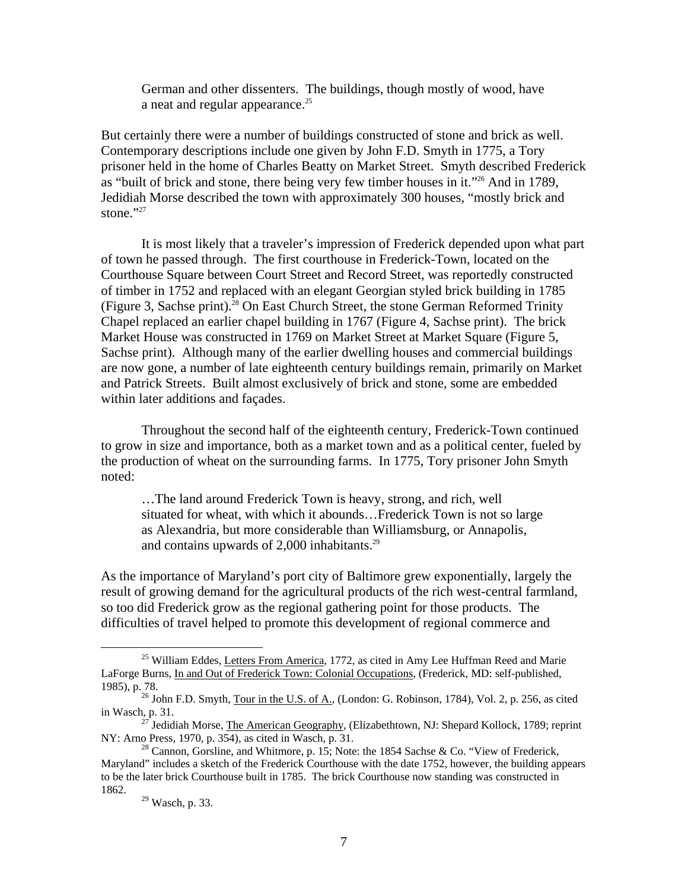German and other dissenters. The buildings, though mostly of wood, have a neat and regular appearance.<sup>[25](#page-8-0)</sup>

But certainly there were a number of buildings constructed of stone and brick as well. Contemporary descriptions include one given by John F.D. Smyth in 1775, a Tory prisoner held in the home of Charles Beatty on Market Street. Smyth described Frederick as "built of brick and stone, there being very few timber houses in it."[26 A](#page-8-1)nd in 1789, Jedidiah Morse described the town with approximately 300 houses, "mostly brick and stone." $27$ 

It is most likely that a traveler's impression of Frederick depended upon what part of town he passed through. The first courthouse in Frederick-Town, located on the Courthouse Square between Court Street and Record Street, was reportedly constructed of timber in 1752 and replaced with an elegant Georgian styled brick building in 1785 (Figure 3, Sachse print)[.28 O](#page-8-3)n East Church Street, the stone German Reformed Trinity Chapel replaced an earlier chapel building in 1767 (Figure 4, Sachse print). The brick Market House was constructed in 1769 on Market Street at Market Square (Figure 5, Sachse print). Although many of the earlier dwelling houses and commercial buildings are now gone, a number of late eighteenth century buildings remain, primarily on Market and Patrick Streets. Built almost exclusively of brick and stone, some are embedded within later additions and façades.

Throughout the second half of the eighteenth century, Frederick-Town continued to grow in size and importance, both as a market town and as a political center, fueled by the production of wheat on the surrounding farms. In 1775, Tory prisoner John Smyth noted:

…The land around Frederick Town is heavy, strong, and rich, well situated for wheat, with which it abounds…Frederick Town is not so large as Alexandria, but more considerable than Williamsburg, or Annapolis, and contains upwards of  $2,000$  inhabitants.<sup>[29](#page-8-4)</sup>

As the importance of Maryland's port city of Baltimore grew exponentially, largely the result of growing demand for the agricultural products of the rich west-central farmland, so too did Frederick grow as the regional gathering point for those products. The difficulties of travel helped to promote this development of regional commerce and

<span id="page-8-0"></span><sup>&</sup>lt;sup>25</sup> William Eddes, Letters From America, 1772, as cited in Amy Lee Huffman Reed and Marie LaForge Burns, In and Out of Frederick Town: Colonial Occupations, (Frederick, MD: self-published,

<sup>1985),</sup> p. 78.  $26$  John F.D. Smyth, <u>Tour in the U.S. of A.</u>, (London: G. Robinson, 1784), Vol. 2, p. 256, as cited

<span id="page-8-2"></span><span id="page-8-1"></span>in Wasch, p. 31.<br><sup>27</sup> Jedidiah Morse, <u>The American Geography</u>, (Elizabethtown, NJ: Shepard Kollock, 1789; reprint<br>NY: Arno Press, 1970, p. 354), as cited in Wasch, p. 31.

<span id="page-8-3"></span><sup>&</sup>lt;sup>28</sup> Cannon, Gorsline, and Whitmore, p. 15; Note: the 1854 Sachse & Co. "View of Frederick, Maryland" includes a sketch of the Frederick Courthouse with the date 1752, however, the building appears to be the later brick Courthouse built in 1785. The brick Courthouse now standing was constructed in 1862. 29 Wasch, p. 33.

<span id="page-8-4"></span>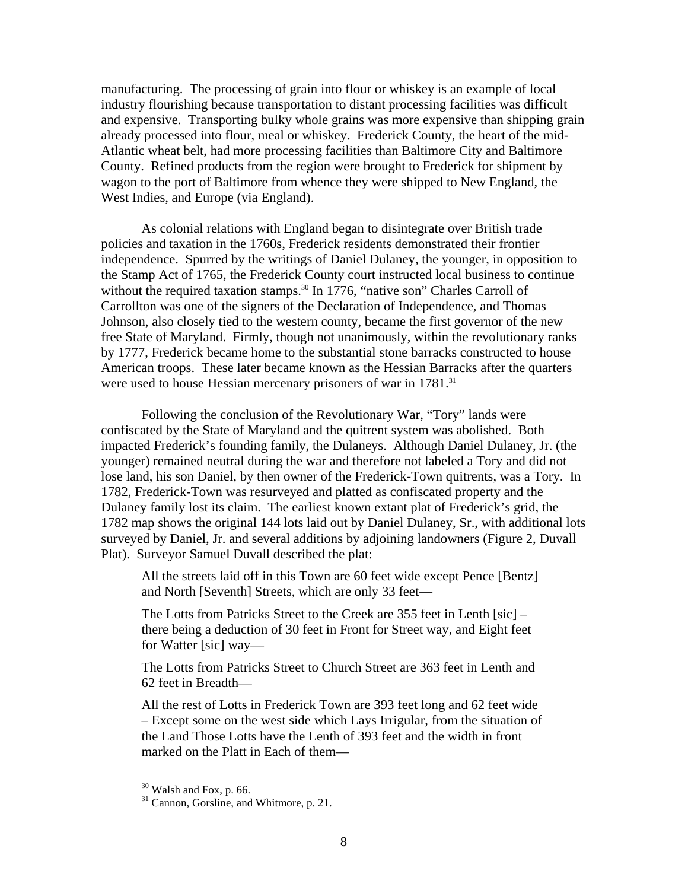manufacturing. The processing of grain into flour or whiskey is an example of local industry flourishing because transportation to distant processing facilities was difficult and expensive. Transporting bulky whole grains was more expensive than shipping grain already processed into flour, meal or whiskey. Frederick County, the heart of the mid-Atlantic wheat belt, had more processing facilities than Baltimore City and Baltimore County. Refined products from the region were brought to Frederick for shipment by wagon to the port of Baltimore from whence they were shipped to New England, the West Indies, and Europe (via England).

As colonial relations with England began to disintegrate over British trade policies and taxation in the 1760s, Frederick residents demonstrated their frontier independence. Spurred by the writings of Daniel Dulaney, the younger, in opposition to the Stamp Act of 1765, the Frederick County court instructed local business to continue without the required taxation stamps.<sup>30</sup> In 1776, "native son" Charles Carroll of Carrollton was one of the signers of the Declaration of Independence, and Thomas Johnson, also closely tied to the western county, became the first governor of the new free State of Maryland. Firmly, though not unanimously, within the revolutionary ranks by 1777, Frederick became home to the substantial stone barracks constructed to house American troops. These later became known as the Hessian Barracks after the quarters were used to house Hessian mercenary prisoners of war in 1781.<sup>[31](#page-9-1)</sup>

Following the conclusion of the Revolutionary War, "Tory" lands were confiscated by the State of Maryland and the quitrent system was abolished. Both impacted Frederick's founding family, the Dulaneys. Although Daniel Dulaney, Jr. (the younger) remained neutral during the war and therefore not labeled a Tory and did not lose land, his son Daniel, by then owner of the Frederick-Town quitrents, was a Tory. In 1782, Frederick-Town was resurveyed and platted as confiscated property and the Dulaney family lost its claim. The earliest known extant plat of Frederick's grid, the 1782 map shows the original 144 lots laid out by Daniel Dulaney, Sr., with additional lots surveyed by Daniel, Jr. and several additions by adjoining landowners (Figure 2, Duvall Plat). Surveyor Samuel Duvall described the plat:

All the streets laid off in this Town are 60 feet wide except Pence [Bentz] and North [Seventh] Streets, which are only 33 feet—

The Lotts from Patricks Street to the Creek are 355 feet in Lenth [sic] – there being a deduction of 30 feet in Front for Street way, and Eight feet for Watter [sic] way—

The Lotts from Patricks Street to Church Street are 363 feet in Lenth and 62 feet in Breadth—

All the rest of Lotts in Frederick Town are 393 feet long and 62 feet wide – Except some on the west side which Lays Irrigular, from the situation of the Land Those Lotts have the Lenth of 393 feet and the width in front marked on the Platt in Each of them—

<span id="page-9-1"></span><span id="page-9-0"></span>

 $30$  Walsh and Fox, p. 66.<br> $31$  Cannon, Gorsline, and Whitmore, p. 21.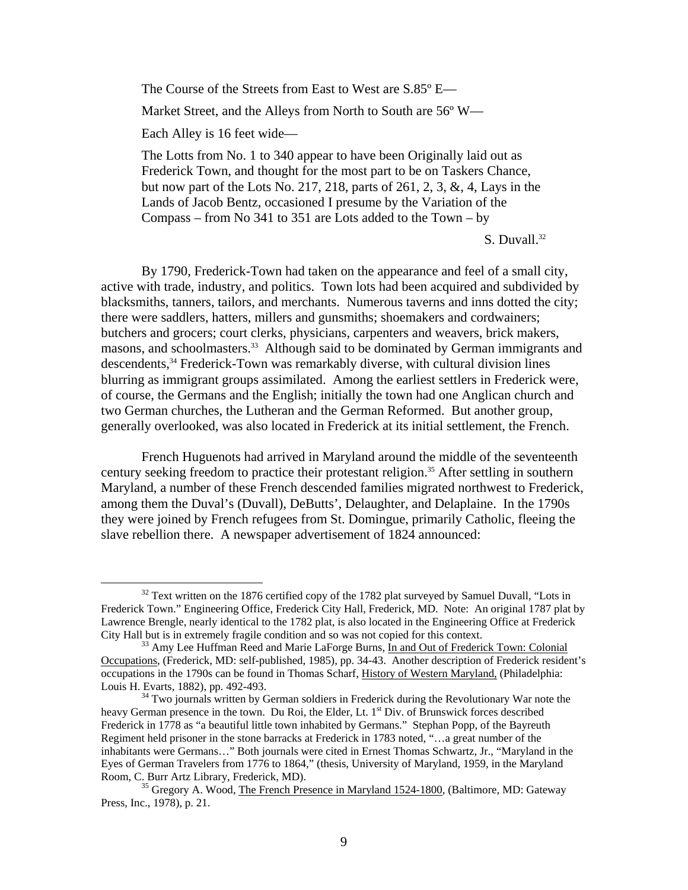The Course of the Streets from East to West are S.85º E— Market Street, and the Alleys from North to South are 56° W— Each Alley is 16 feet wide— The Lotts from No. 1 to 340 appear to have been Originally laid out as

Frederick Town, and thought for the most part to be on Taskers Chance, but now part of the Lots No. 217, 218, parts of 261, 2, 3, &, 4, Lays in the Lands of Jacob Bentz, occasioned I presume by the Variation of the Compass – from No 341 to 351 are Lots added to the Town – by

S. Duvall.<sup>32</sup>

By 1790, Frederick-Town had taken on the appearance and feel of a small city, active with trade, industry, and politics. Town lots had been acquired and subdivided by blacksmiths, tanners, tailors, and merchants. Numerous taverns and inns dotted the city; there were saddlers, hatters, millers and gunsmiths; shoemakers and cordwainers; butchers and grocers; court clerks, physicians, carpenters and weavers, brick makers, masons, and schoolmasters.<sup>33</sup> Although said to be dominated by German immigrants and descendents,<sup>34</sup> Frederick-Town was remarkably diverse, with cultural division lines blurring as immigrant groups assimilated. Among the earliest settlers in Frederick were, of course, the Germans and the English; initially the town had one Anglican church and two German churches, the Lutheran and the German Reformed. But another group, generally overlooked, was also located in Frederick at its initial settlement, the French.

French Huguenots had arrived in Maryland around the middle of the seventeenth century seeking freedom to practice their protestant religion.<sup>35</sup> After settling in southern Maryland, a number of these French descended families migrated northwest to Frederick, among them the Duval's (Duvall), DeButts', Delaughter, and Delaplaine. In the 1790s they were joined by French refugees from St. Domingue, primarily Catholic, fleeing the slave rebellion there. A newspaper advertisement of 1824 announced:

<span id="page-10-0"></span> $32$  Text written on the 1876 certified copy of the 1782 plat surveyed by Samuel Duvall, "Lots in Frederick Town." Engineering Office, Frederick City Hall, Frederick, MD. Note: An original 1787 plat by Lawrence Brengle, nearly identical to the 1782 plat, is also located in the Engineering Office at Frederick City Hall but is in extremely fragile condition and so was not copied for this context.<br><sup>33</sup> Amy Lee Huffman Reed and Marie LaForge Burns, In and Out of Frederick Town: Colonial

<span id="page-10-1"></span>Occupations, (Frederick, MD: self-published, 1985), pp. 34-43. Another description of Frederick resident's occupations in the 1790s can be found in Thomas Scharf, History of Western Maryland, (Philadelphia: Louis H. Evarts, 1882), pp. 492-493.

<span id="page-10-2"></span><sup>&</sup>lt;sup>34</sup> Two journals written by German soldiers in Frederick during the Revolutionary War note the heavy German presence in the town. Du Roi, the Elder, Lt.  $1<sup>st</sup>$  Div. of Brunswick forces described Frederick in 1778 as "a beautiful little town inhabited by Germans." Stephan Popp, of the Bayreuth Regiment held prisoner in the stone barracks at Frederick in 1783 noted, "…a great number of the inhabitants were Germans…" Both journals were cited in Ernest Thomas Schwartz, Jr., "Maryland in the Eyes of German Travelers from 1776 to 1864," (thesis, University of Maryland, 1959, in the Maryland

<span id="page-10-3"></span><sup>&</sup>lt;sup>35</sup> Gregory A. Wood, The French Presence in Maryland 1524-1800, (Baltimore, MD: Gateway Press, Inc., 1978), p. 21.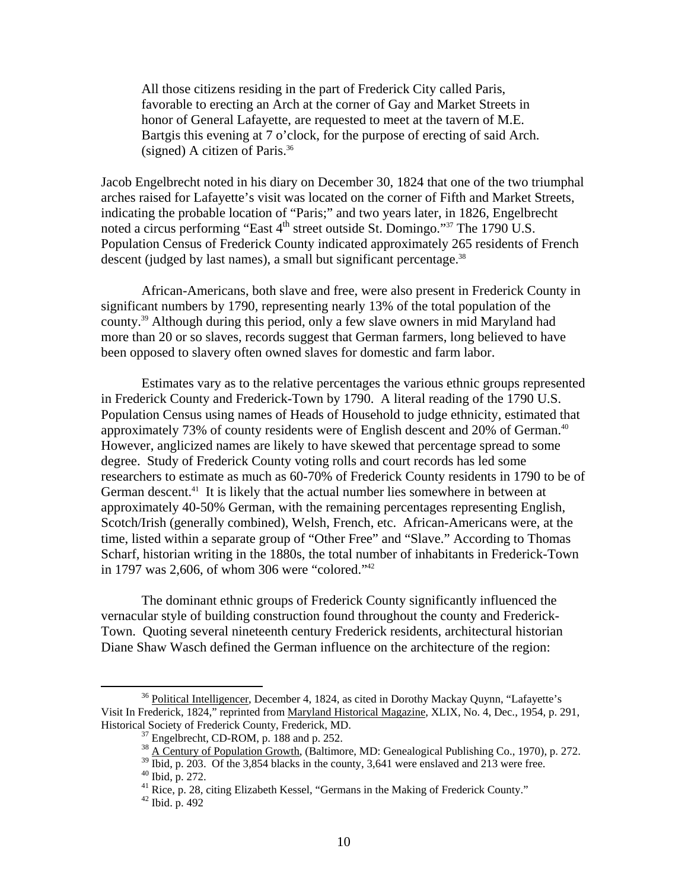All those citizens residing in the part of Frederick City called Paris, favorable to erecting an Arch at the corner of Gay and Market Streets in honor of General Lafayette, are requested to meet at the tavern of M.E. Bartgis this evening at 7 o'clock, for the purpose of erecting of said Arch. (signed) A citizen of Paris. $36$ 

Jacob Engelbrecht noted in his diary on December 30, 1824 that one of the two triumphal arches raised for Lafayette's visit was located on the corner of Fifth and Market Streets, indicating the probable location of "Paris;" and two years later, in 1826, Engelbrecht noted a circus performing "East 4<sup>th</sup> street outside St. Domingo."<sup>37</sup> The 1790 U.S. Population Census of Frederick County indicated approximately 265 residents of French descent (judged by last names), a small but significant percentage.<sup>[38](#page-11-2)</sup>

African-Americans, both slave and free, were also present in Frederick County in significant numbers by 1790, representing nearly 13% of the total population of the county.[39 A](#page-11-3)lthough during this period, only a few slave owners in mid Maryland had more than 20 or so slaves, records suggest that German farmers, long believed to have been opposed to slavery often owned slaves for domestic and farm labor.

Estimates vary as to the relative percentages the various ethnic groups represented in Frederick County and Frederick-Town by 1790. A literal reading of the 1790 U.S. Population Census using names of Heads of Household to judge ethnicity, estimated that approximately 73% of county residents were of English descent and 20% of German.<sup>40</sup> However, anglicized names are likely to have skewed that percentage spread to some degree. Study of Frederick County voting rolls and court records has led some researchers to estimate as much as 60-70% of Frederick County residents in 1790 to be of German descent.<sup>41</sup> It is likely that the actual number lies somewhere in between at approximately 40-50% German, with the remaining percentages representing English, Scotch/Irish (generally combined), Welsh, French, etc. African-Americans were, at the time, listed within a separate group of "Other Free" and "Slave." According to Thomas Scharf, historian writing in the 1880s, the total number of inhabitants in Frederick-Town in 1797 was 2,606, of whom 306 were "colored.["42](#page-11-6)

The dominant ethnic groups of Frederick County significantly influenced the vernacular style of building construction found throughout the county and Frederick-Town. Quoting several nineteenth century Frederick residents, architectural historian Diane Shaw Wasch defined the German influence on the architecture of the region:

<sup>&</sup>lt;sup>36</sup> Political Intelligencer, December 4, 1824, as cited in Dorothy Mackay Quynn, "Lafayette's Visit In Frederick, 1824," reprinted from Maryland Historical Magazine, XLIX, No. 4, Dec., 1954, p. 291,

<span id="page-11-2"></span><span id="page-11-1"></span>

<span id="page-11-0"></span><sup>&</sup>lt;sup>37</sup> Engelbrecht, CD-ROM, p. 188 and p. 252.<br><sup>38</sup> A Century of Population Growth, (Baltimore, MD: Genealogical Publishing Co., 1970), p. 272.

<span id="page-11-3"></span><sup>&</sup>lt;sup>39</sup> Ibid, p. 203. Of the 3,854 blacks in the county, 3,641 were enslaved and 213 were free.<br><sup>40</sup> Ibid, p. 272.<br><sup>41</sup> Rice, p. 28, citing Elizabeth Kessel, "Germans in the Making of Frederick County."<br><sup>42</sup> Ibid. p. 492

<span id="page-11-5"></span><span id="page-11-4"></span>

<span id="page-11-6"></span>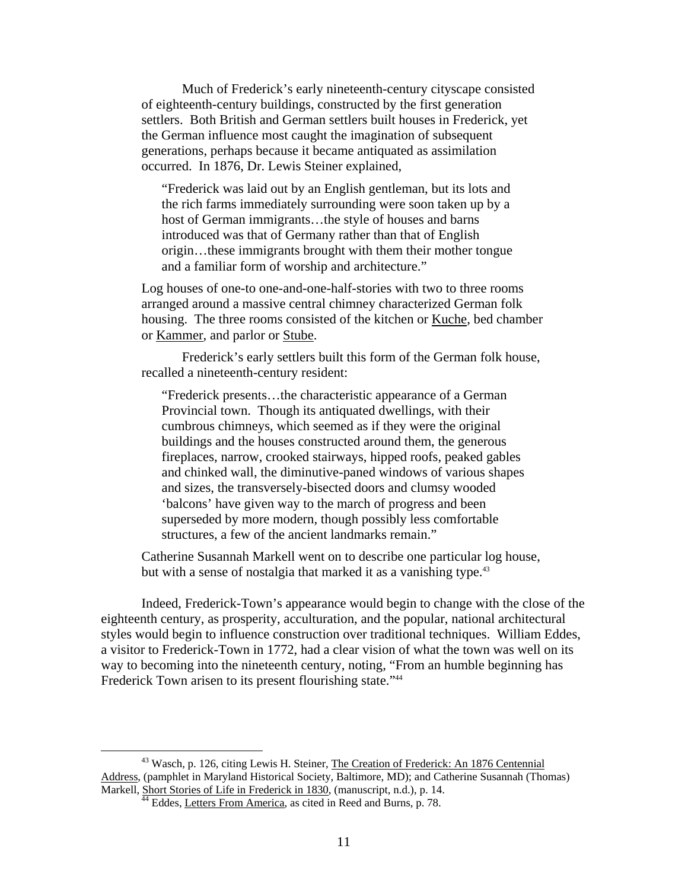Much of Frederick's early nineteenth-century cityscape consisted of eighteenth-century buildings, constructed by the first generation settlers. Both British and German settlers built houses in Frederick, yet the German influence most caught the imagination of subsequent generations, perhaps because it became antiquated as assimilation occurred. In 1876, Dr. Lewis Steiner explained,

"Frederick was laid out by an English gentleman, but its lots and the rich farms immediately surrounding were soon taken up by a host of German immigrants…the style of houses and barns introduced was that of Germany rather than that of English origin…these immigrants brought with them their mother tongue and a familiar form of worship and architecture."

Log houses of one-to one-and-one-half-stories with two to three rooms arranged around a massive central chimney characterized German folk housing. The three rooms consisted of the kitchen or Kuche, bed chamber or Kammer, and parlor or Stube.

Frederick's early settlers built this form of the German folk house, recalled a nineteenth-century resident:

"Frederick presents…the characteristic appearance of a German Provincial town. Though its antiquated dwellings, with their cumbrous chimneys, which seemed as if they were the original buildings and the houses constructed around them, the generous fireplaces, narrow, crooked stairways, hipped roofs, peaked gables and chinked wall, the diminutive-paned windows of various shapes and sizes, the transversely-bisected doors and clumsy wooded 'balcons' have given way to the march of progress and been superseded by more modern, though possibly less comfortable structures, a few of the ancient landmarks remain."

Catherine Susannah Markell went on to describe one particular log house, but with a sense of nostalgia that marked it as a vanishing type.<sup>[43](#page-12-0)</sup>

Indeed, Frederick-Town's appearance would begin to change with the close of the eighteenth century, as prosperity, acculturation, and the popular, national architectural styles would begin to influence construction over traditional techniques. William Eddes, a visitor to Frederick-Town in 1772, had a clear vision of what the town was well on its way to becoming into the nineteenth century, noting, "From an humble beginning has Frederick Town arisen to its present flourishing state."<sup>[44](#page-12-1)</sup>

<sup>&</sup>lt;sup>43</sup> Wasch, p. 126, citing Lewis H. Steiner, The Creation of Frederick: An 1876 Centennial Address, (pamphlet in Maryland Historical Society, Baltimore, MD); and Catherine Susannah (Thomas) Markell, Short Stories of Life in Frederick in 1830, (manuscript, n.d.), p. 14.<br><sup>44</sup> Eddes, Letters From America, as cited in Reed and Burns, p. 78.

<span id="page-12-1"></span><span id="page-12-0"></span>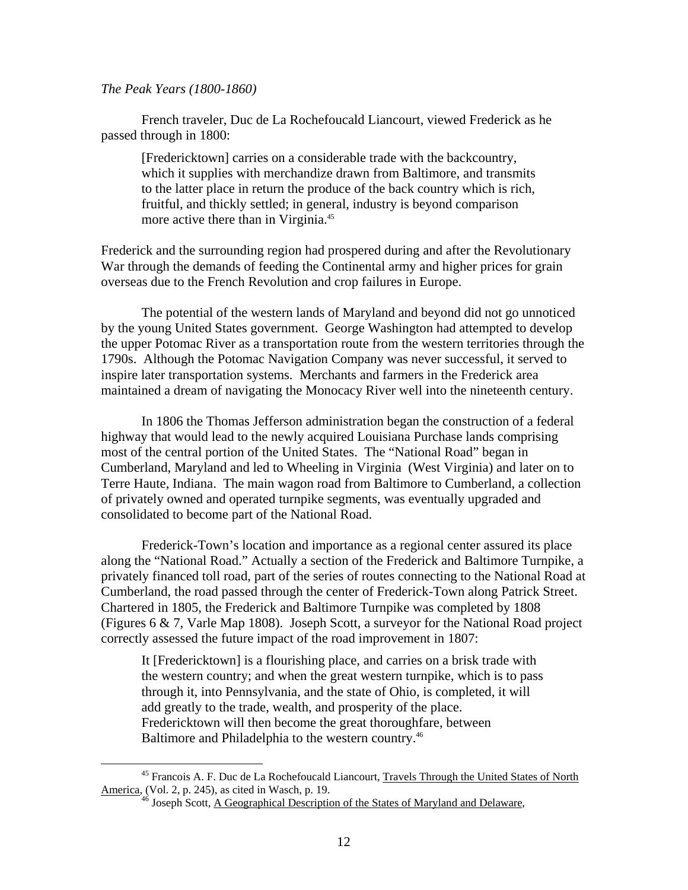<span id="page-13-1"></span>*The Peak Years (1800-1860)* 

French traveler, Duc de La Rochefoucald Liancourt, viewed Frederick as he passed through in 1800:

[Fredericktown] carries on a considerable trade with the backcountry, which it supplies with merchandize drawn from Baltimore, and transmits to the latter place in return the produce of the back country which is rich, fruitful, and thickly settled; in general, industry is beyond comparison more active there than in Virginia.<sup>45</sup>

Frederick and the surrounding region had prospered during and after the Revolutionary War through the demands of feeding the Continental army and higher prices for grain overseas due to the French Revolution and crop failures in Europe.

The potential of the western lands of Maryland and beyond did not go unnoticed by the young United States government. George Washington had attempted to develop the upper Potomac River as a transportation route from the western territories through the 1790s. Although the Potomac Navigation Company was never successful, it served to inspire later transportation systems. Merchants and farmers in the Frederick area maintained a dream of navigating the Monocacy River well into the nineteenth century.

In 1806 the Thomas Jefferson administration began the construction of a federal highway that would lead to the newly acquired Louisiana Purchase lands comprising most of the central portion of the United States. The "National Road" began in Cumberland, Maryland and led to Wheeling in Virginia (West Virginia) and later on to Terre Haute, Indiana. The main wagon road from Baltimore to Cumberland, a collection of privately owned and operated turnpike segments, was eventually upgraded and consolidated to become part of the National Road.

Frederick-Town's location and importance as a regional center assured its place along the "National Road." Actually a section of the Frederick and Baltimore Turnpike, a privately financed toll road, part of the series of routes connecting to the National Road at Cumberland, the road passed through the center of Frederick-Town along Patrick Street. Chartered in 1805, the Frederick and Baltimore Turnpike was completed by 1808 (Figures 6 & 7, Varle Map 1808). Joseph Scott, a surveyor for the National Road project correctly assessed the future impact of the road improvement in 1807:

It [Fredericktown] is a flourishing place, and carries on a brisk trade with the western country; and when the great western turnpike, which is to pass through it, into Pennsylvania, and the state of Ohio, is completed, it will add greatly to the trade, wealth, and prosperity of the place. Fredericktown will then become the great thoroughfare, between Baltimore and Philadelphia to the western country.[46](#page-13-1)

 <sup>45</sup> Francois A. F. Duc de La Rochefoucald Liancourt, Travels Through the United States of North America, (Vol. 2, p. 245), as cited in Wasch, p. 19.<br><sup>46</sup> Joseph Scott, <u>A Geographical Description of the States of Maryland and Delaware</u>,

<span id="page-13-0"></span>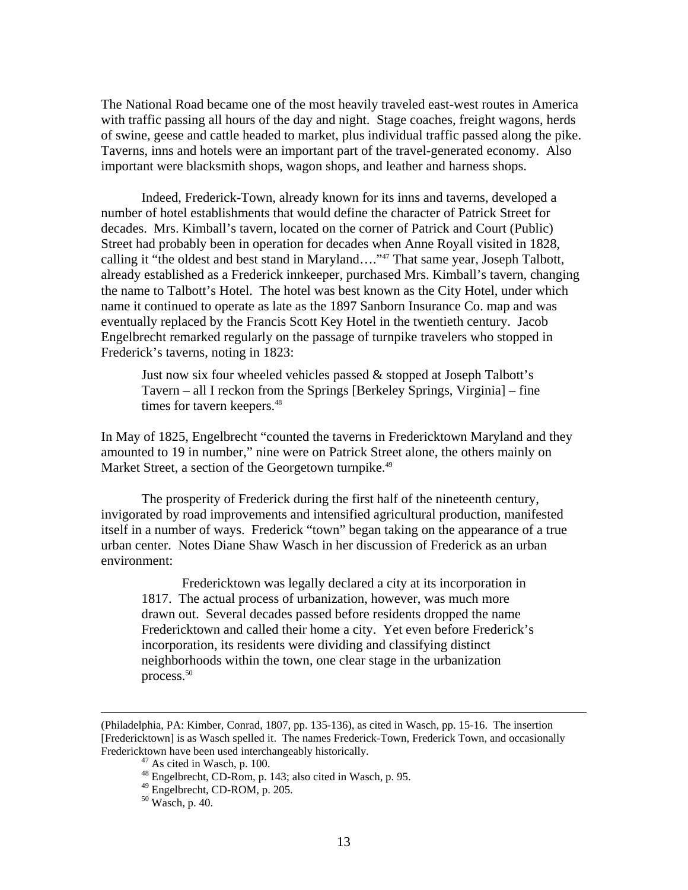The National Road became one of the most heavily traveled east-west routes in America with traffic passing all hours of the day and night. Stage coaches, freight wagons, herds of swine, geese and cattle headed to market, plus individual traffic passed along the pike. Taverns, inns and hotels were an important part of the travel-generated economy. Also important were blacksmith shops, wagon shops, and leather and harness shops.

Indeed, Frederick-Town, already known for its inns and taverns, developed a number of hotel establishments that would define the character of Patrick Street for decades. Mrs. Kimball's tavern, located on the corner of Patrick and Court (Public) Street had probably been in operation for decades when Anne Royall visited in 1828, calling it "the oldest and best stand in Maryland…."[47 T](#page-14-0)hat same year, Joseph Talbott, already established as a Frederick innkeeper, purchased Mrs. Kimball's tavern, changing the name to Talbott's Hotel. The hotel was best known as the City Hotel, under which name it continued to operate as late as the 1897 Sanborn Insurance Co. map and was eventually replaced by the Francis Scott Key Hotel in the twentieth century. Jacob Engelbrecht remarked regularly on the passage of turnpike travelers who stopped in Frederick's taverns, noting in 1823:

Just now six four wheeled vehicles passed & stopped at Joseph Talbott's Tavern – all I reckon from the Springs [Berkeley Springs, Virginia] – fine times for tavern keepers.<sup>[48](#page-14-1)</sup>

In May of 1825, Engelbrecht "counted the taverns in Fredericktown Maryland and they amounted to 19 in number," nine were on Patrick Street alone, the others mainly on Market Street, a section of the Georgetown turnpike.<sup>[49](#page-14-2)</sup>

The prosperity of Frederick during the first half of the nineteenth century, invigorated by road improvements and intensified agricultural production, manifested itself in a number of ways. Frederick "town" began taking on the appearance of a true urban center. Notes Diane Shaw Wasch in her discussion of Frederick as an urban environment:

Fredericktown was legally declared a city at its incorporation in 1817. The actual process of urbanization, however, was much more drawn out. Several decades passed before residents dropped the name Fredericktown and called their home a city. Yet even before Frederick's incorporation, its residents were dividing and classifying distinct neighborhoods within the town, one clear stage in the urbanization process[.50](#page-14-3)

 <sup>(</sup>Philadelphia, PA: Kimber, Conrad, 1807, pp. 135-136), as cited in Wasch, pp. 15-16. The insertion [Fredericktown] is as Wasch spelled it. The names Frederick-Town, Frederick Town, and occasionally Fredericktown have been used interchangeably historically.<br><sup>47</sup> As cited in Wasch, p. 100.<br><sup>48</sup> Engelbrecht, CD-Rom, p. 143; also cited in Wasch, p. 95.<br><sup>49</sup> Engelbrecht, CD-ROM, p. 205.<br><sup>50</sup> Wasch, p. 40.

<span id="page-14-0"></span>

<span id="page-14-1"></span>

<span id="page-14-2"></span>

<span id="page-14-3"></span>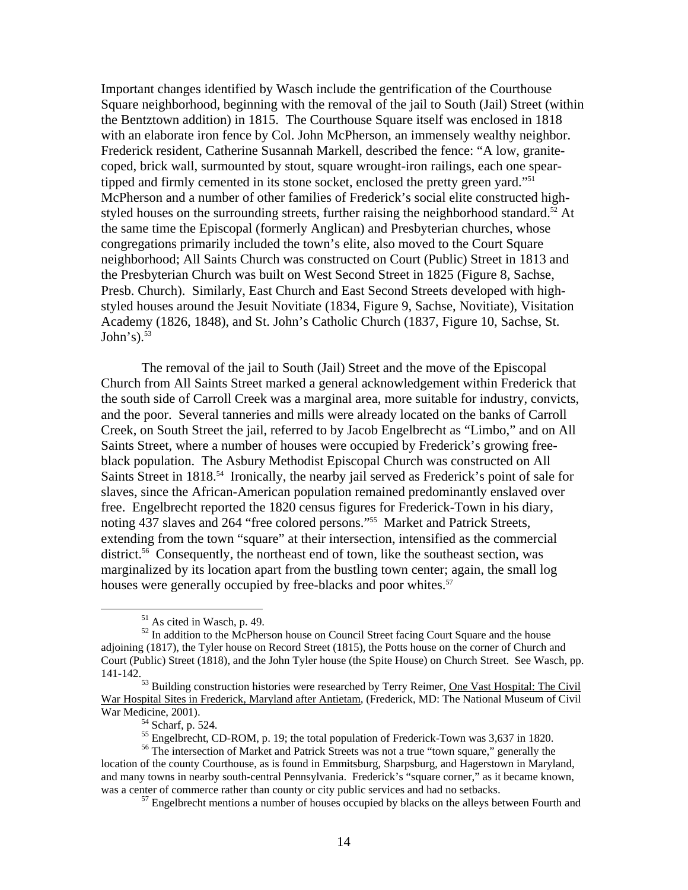<span id="page-15-6"></span>Important changes identified by Wasch include the gentrification of the Courthouse Square neighborhood, beginning with the removal of the jail to South (Jail) Street (within the Bentztown addition) in 1815. The Courthouse Square itself was enclosed in 1818 with an elaborate iron fence by Col. John McPherson, an immensely wealthy neighbor. Frederick resident, Catherine Susannah Markell, described the fence: "A low, granitecoped, brick wall, surmounted by stout, square wrought-iron railings, each one spear-tipped and firmly cemented in its stone socket, enclosed the pretty green yard."<sup>[51](#page-15-0)</sup> McPherson and a number of other families of Frederick's social elite constructed highstyled houses on the surrounding streets, further raising the neighborhood standard.<sup>52</sup> At the same time the Episcopal (formerly Anglican) and Presbyterian churches, whose congregations primarily included the town's elite, also moved to the Court Square neighborhood; All Saints Church was constructed on Court (Public) Street in 1813 and the Presbyterian Church was built on West Second Street in 1825 (Figure 8, Sachse, Presb. Church). Similarly, East Church and East Second Streets developed with highstyled houses around the Jesuit Novitiate (1834, Figure 9, Sachse, Novitiate), Visitation Academy (1826, 1848), and St. John's Catholic Church (1837, Figure 10, Sachse, St.  $John's$ ).  $53$ 

The removal of the jail to South (Jail) Street and the move of the Episcopal Church from All Saints Street marked a general acknowledgement within Frederick that the south side of Carroll Creek was a marginal area, more suitable for industry, convicts, and the poor. Several tanneries and mills were already located on the banks of Carroll Creek, on South Street the jail, referred to by Jacob Engelbrecht as "Limbo," and on All Saints Street, where a number of houses were occupied by Frederick's growing freeblack population. The Asbury Methodist Episcopal Church was constructed on All Saints Street in 1818.<sup>54</sup> Ironically, the nearby jail served as Frederick's point of sale for slaves, since the African-American population remained predominantly enslaved over free. Engelbrecht reported the 1820 census figures for Frederick-Town in his diary, noting 437 slaves and 264 "free colored persons.["55](#page-15-4) Market and Patrick Streets, extending from the town "square" at their intersection, intensified as the commercial district.<sup>56</sup> Consequently, the northeast end of town, like the southeast section, was marginalized by its location apart from the bustling town center; again, the small log houses were generally occupied by free-blacks and poor whites.<sup>57</sup>

<span id="page-15-1"></span><span id="page-15-0"></span>

 $51$  As cited in Wasch, p. 49.<br> $52$  In addition to the McPherson house on Council Street facing Court Square and the house adjoining (1817), the Tyler house on Record Street (1815), the Potts house on the corner of Church and Court (Public) Street (1818), and the John Tyler house (the Spite House) on Church Street. See Wasch, pp. 141-142.

<sup>53</sup> Building construction histories were researched by Terry Reimer, One Vast Hospital: The Civil War Hospital Sites in Frederick, Maryland after Antietam, (Frederick, MD: The National Museum of Civil War Medicine, 2001).<br><sup>54</sup> Scharf, p. 524.<br><sup>55</sup> Engelbrecht, CD-ROM, p. 19; the total population of Frederick-Town was 3,637 in 1820.<br><sup>56</sup> The intersection of Market and Patrick Streets was not a true "town square," general

<span id="page-15-3"></span><span id="page-15-2"></span>

<span id="page-15-5"></span><span id="page-15-4"></span>

location of the county Courthouse, as is found in Emmitsburg, Sharpsburg, and Hagerstown in Maryland, and many towns in nearby south-central Pennsylvania. Frederick's "square corner," as it became known, was a center of commerce rather than county or city public services and had no setbacks.<br><sup>57</sup> Engelbrecht mentions a number of houses occupied by blacks on the alleys between Fourth and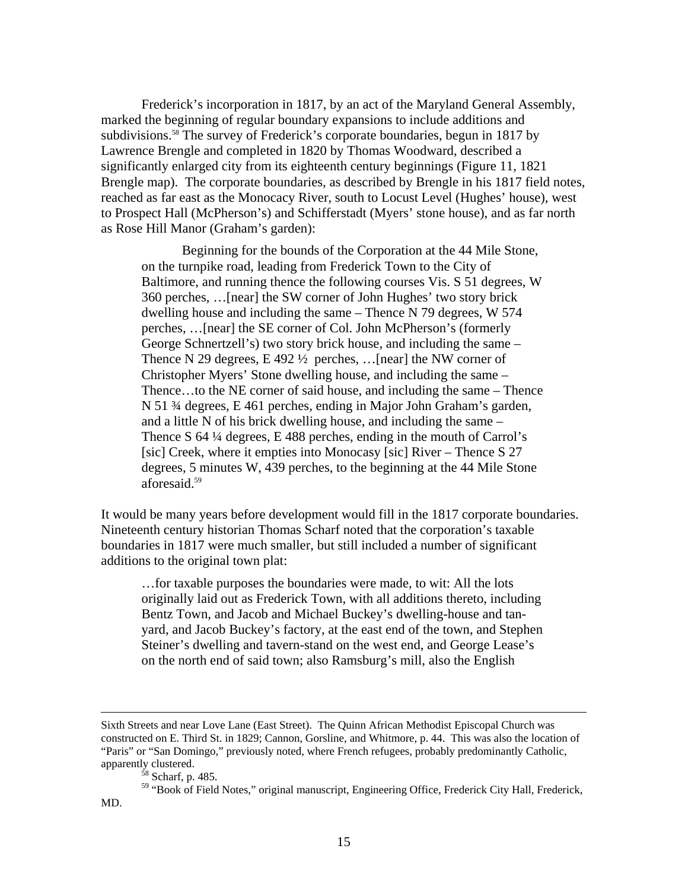Frederick's incorporation in 1817, by an act of the Maryland General Assembly, marked the beginning of regular boundary expansions to include additions and subdivisions.<sup>58</sup> The survey of Frederick's corporate boundaries, begun in 1817 by Lawrence Brengle and completed in 1820 by Thomas Woodward, described a significantly enlarged city from its eighteenth century beginnings (Figure 11, 1821 Brengle map). The corporate boundaries, as described by Brengle in his 1817 field notes, reached as far east as the Monocacy River, south to Locust Level (Hughes' house), west to Prospect Hall (McPherson's) and Schifferstadt (Myers' stone house), and as far north as Rose Hill Manor (Graham's garden):

Beginning for the bounds of the Corporation at the 44 Mile Stone, on the turnpike road, leading from Frederick Town to the City of Baltimore, and running thence the following courses Vis. S 51 degrees, W 360 perches, …[near] the SW corner of John Hughes' two story brick dwelling house and including the same – Thence N 79 degrees, W 574 perches, …[near] the SE corner of Col. John McPherson's (formerly George Schnertzell's) two story brick house, and including the same – Thence N 29 degrees, E 492  $\frac{1}{2}$  perches, ... [near] the NW corner of Christopher Myers' Stone dwelling house, and including the same – Thence…to the NE corner of said house, and including the same – Thence N 51 ¾ degrees, E 461 perches, ending in Major John Graham's garden, and a little N of his brick dwelling house, and including the same – Thence S 64 ¼ degrees, E 488 perches, ending in the mouth of Carrol's [sic] Creek, where it empties into Monocasy [sic] River – Thence S 27 degrees, 5 minutes W, 439 perches, to the beginning at the 44 Mile Stone aforesaid[.59](#page-16-1)

It would be many years before development would fill in the 1817 corporate boundaries. Nineteenth century historian Thomas Scharf noted that the corporation's taxable boundaries in 1817 were much smaller, but still included a number of significant additions to the original town plat:

…for taxable purposes the boundaries were made, to wit: All the lots originally laid out as Frederick Town, with all additions thereto, including Bentz Town, and Jacob and Michael Buckey's dwelling-house and tanyard, and Jacob Buckey's factory, at the east end of the town, and Stephen Steiner's dwelling and tavern-stand on the west end, and George Lease's on the north end of said town; also Ramsburg's mill, also the English

Sixth Streets and near Love Lane (East Street). The Quinn African Methodist Episcopal Church was constructed on E. Third St. in 1829; Cannon, Gorsline, and Whitmore, p. 44. This was also the location of "Paris" or "San Domingo," previously noted, where French refugees, probably predominantly Catholic, apparently clustered.<br><sup>58</sup> Scharf, p. 485.

<span id="page-16-1"></span><span id="page-16-0"></span>

<sup>&</sup>lt;sup>59</sup> "Book of Field Notes," original manuscript, Engineering Office, Frederick City Hall, Frederick, MD.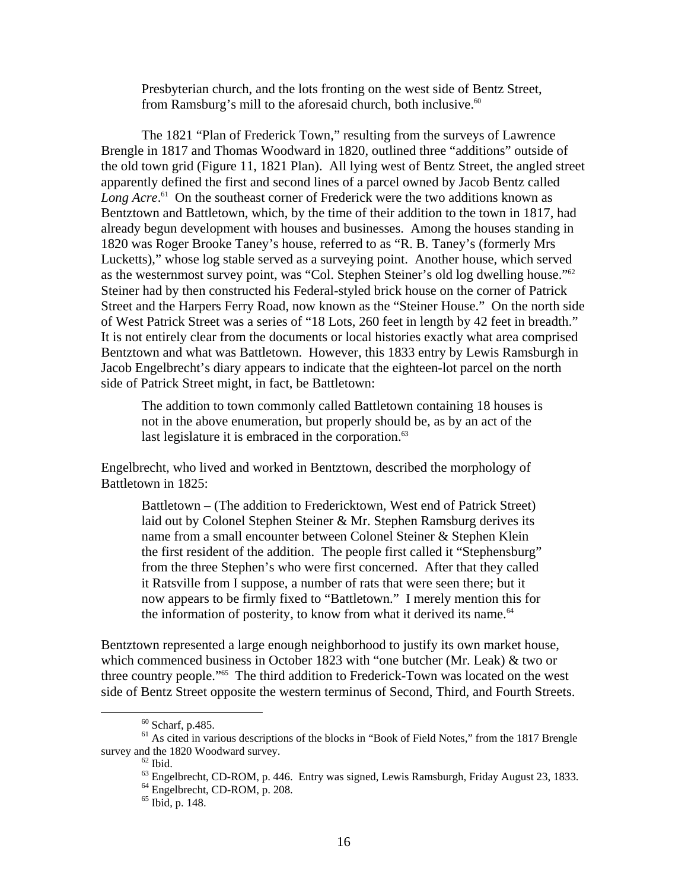Presbyterian church, and the lots fronting on the west side of Bentz Street, from Ramsburg's mill to the aforesaid church, both inclusive.<sup>[60](#page-17-0)</sup>

The 1821 "Plan of Frederick Town," resulting from the surveys of Lawrence Brengle in 1817 and Thomas Woodward in 1820, outlined three "additions" outside of the old town grid (Figure 11, 1821 Plan). All lying west of Bentz Street, the angled street apparently defined the first and second lines of a parcel owned by Jacob Bentz called Long Acre.<sup>61</sup> On the southeast corner of Frederick were the two additions known as Bentztown and Battletown, which, by the time of their addition to the town in 1817, had already begun development with houses and businesses. Among the houses standing in 1820 was Roger Brooke Taney's house, referred to as "R. B. Taney's (formerly Mrs Lucketts)," whose log stable served as a surveying point. Another house, which served as the westernmost survey point, was "Col. Stephen Steiner's old log dwelling house."<sup>62</sup> Steiner had by then constructed his Federal-styled brick house on the corner of Patrick Street and the Harpers Ferry Road, now known as the "Steiner House." On the north side of West Patrick Street was a series of "18 Lots, 260 feet in length by 42 feet in breadth." It is not entirely clear from the documents or local histories exactly what area comprised Bentztown and what was Battletown. However, this 1833 entry by Lewis Ramsburgh in Jacob Engelbrecht's diary appears to indicate that the eighteen-lot parcel on the north side of Patrick Street might, in fact, be Battletown:

The addition to town commonly called Battletown containing 18 houses is not in the above enumeration, but properly should be, as by an act of the last legislature it is embraced in the corporation.<sup>63</sup>

Engelbrecht, who lived and worked in Bentztown, described the morphology of Battletown in 1825:

Battletown – (The addition to Fredericktown, West end of Patrick Street) laid out by Colonel Stephen Steiner & Mr. Stephen Ramsburg derives its name from a small encounter between Colonel Steiner & Stephen Klein the first resident of the addition. The people first called it "Stephensburg" from the three Stephen's who were first concerned. After that they called it Ratsville from I suppose, a number of rats that were seen there; but it now appears to be firmly fixed to "Battletown." I merely mention this for the information of posterity, to know from what it derived its name.<sup>[64](#page-17-4)</sup>

Bentztown represented a large enough neighborhood to justify its own market house, which commenced business in October 1823 with "one butcher (Mr. Leak) & two or three country people.["65](#page-17-5) The third addition to Frederick-Town was located on the west side of Bentz Street opposite the western terminus of Second, Third, and Fourth Streets.

<span id="page-17-1"></span><span id="page-17-0"></span>

 $^{60}$  Scharf, p.485.<br><sup>61</sup> As cited in various descriptions of the blocks in "Book of Field Notes," from the 1817 Brengle survey and the 1820 Woodward survey.<br><sup>62</sup> Ibid. <sup>63</sup> Engelbrecht, CD-ROM, p. 446. Entry was signed, Lewis Ramsburgh, Friday August 23, 1833.<br><sup>64</sup> Engelbrecht, CD-ROM, p. 208. <sup>65</sup> Ibid, p. 148.

<span id="page-17-2"></span>

<span id="page-17-3"></span>

<span id="page-17-4"></span>

<span id="page-17-5"></span>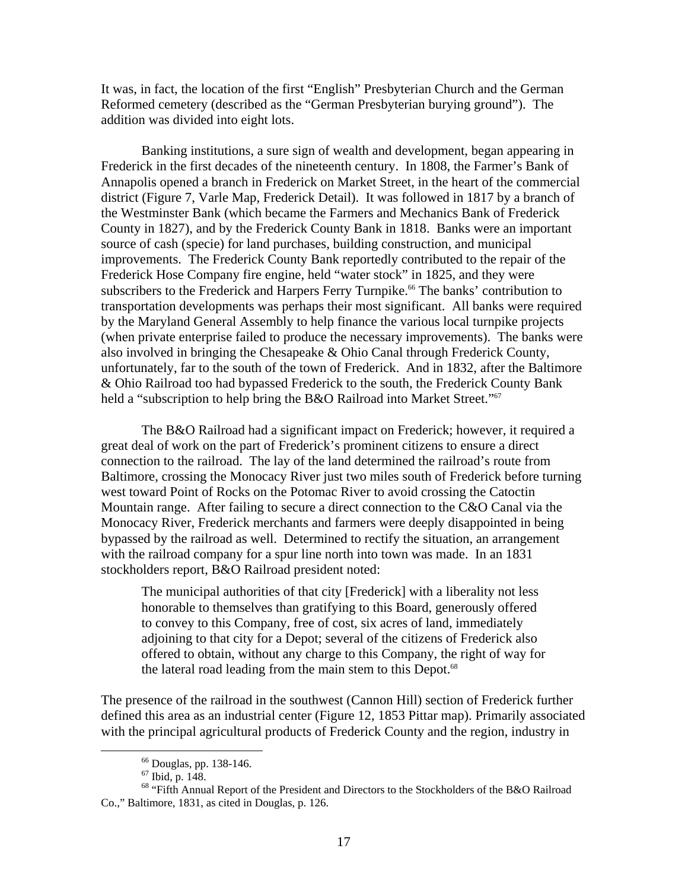It was, in fact, the location of the first "English" Presbyterian Church and the German Reformed cemetery (described as the "German Presbyterian burying ground"). The addition was divided into eight lots.

Banking institutions, a sure sign of wealth and development, began appearing in Frederick in the first decades of the nineteenth century. In 1808, the Farmer's Bank of Annapolis opened a branch in Frederick on Market Street, in the heart of the commercial district (Figure 7, Varle Map, Frederick Detail). It was followed in 1817 by a branch of the Westminster Bank (which became the Farmers and Mechanics Bank of Frederick County in 1827), and by the Frederick County Bank in 1818. Banks were an important source of cash (specie) for land purchases, building construction, and municipal improvements. The Frederick County Bank reportedly contributed to the repair of the Frederick Hose Company fire engine, held "water stock" in 1825, and they were subscribers to the Frederick and Harpers Ferry Turnpike.<sup>66</sup> The banks' contribution to transportation developments was perhaps their most significant. All banks were required by the Maryland General Assembly to help finance the various local turnpike projects (when private enterprise failed to produce the necessary improvements). The banks were also involved in bringing the Chesapeake & Ohio Canal through Frederick County, unfortunately, far to the south of the town of Frederick. And in 1832, after the Baltimore & Ohio Railroad too had bypassed Frederick to the south, the Frederick County Bank held a "subscription to help bring the B&O Railroad into Market Street."<sup>[67](#page-18-1)</sup>

The B&O Railroad had a significant impact on Frederick; however, it required a great deal of work on the part of Frederick's prominent citizens to ensure a direct connection to the railroad. The lay of the land determined the railroad's route from Baltimore, crossing the Monocacy River just two miles south of Frederick before turning west toward Point of Rocks on the Potomac River to avoid crossing the Catoctin Mountain range. After failing to secure a direct connection to the C&O Canal via the Monocacy River, Frederick merchants and farmers were deeply disappointed in being bypassed by the railroad as well. Determined to rectify the situation, an arrangement with the railroad company for a spur line north into town was made. In an 1831 stockholders report, B&O Railroad president noted:

The municipal authorities of that city [Frederick] with a liberality not less honorable to themselves than gratifying to this Board, generously offered to convey to this Company, free of cost, six acres of land, immediately adjoining to that city for a Depot; several of the citizens of Frederick also offered to obtain, without any charge to this Company, the right of way for the lateral road leading from the main stem to this Depot.<sup>68</sup>

The presence of the railroad in the southwest (Cannon Hill) section of Frederick further defined this area as an industrial center (Figure 12, 1853 Pittar map). Primarily associated with the principal agricultural products of Frederick County and the region, industry in

<span id="page-18-0"></span>

<span id="page-18-2"></span><span id="page-18-1"></span>

<sup>&</sup>lt;sup>66</sup> Douglas, pp. 138-146.<br><sup>67</sup> Ibid, p. 148.<br><sup>68</sup> "Fifth Annual Report of the President and Directors to the Stockholders of the B&O Railroad Co.," Baltimore, 1831, as cited in Douglas, p. 126.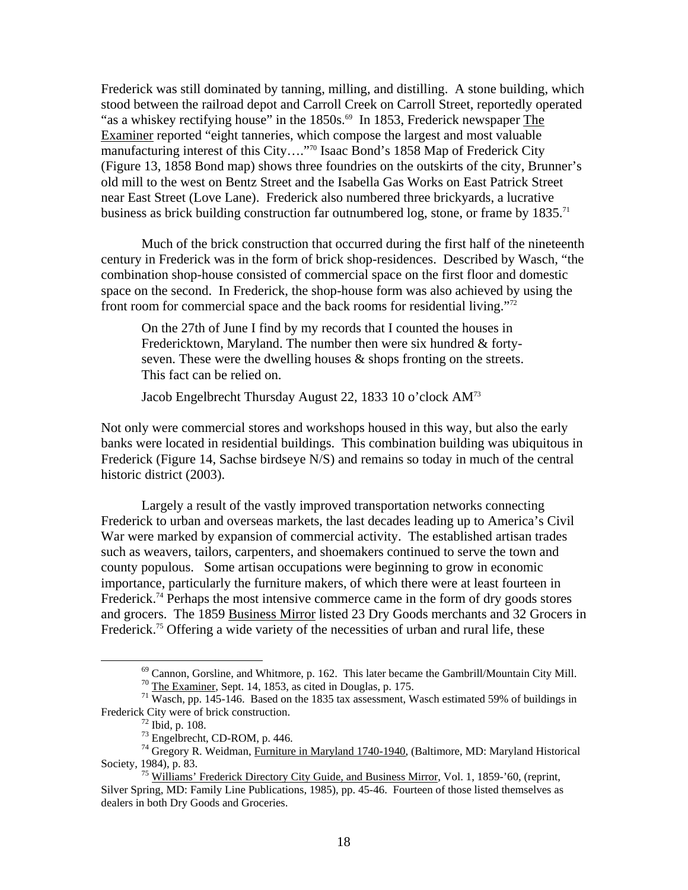Frederick was still dominated by tanning, milling, and distilling. A stone building, which stood between the railroad depot and Carroll Creek on Carroll Street, reportedly operated "as a whiskey rectifying house" in the  $1850s$ .<sup>69</sup> In 1853, Frederick newspaper The Examiner reported "eight tanneries, which compose the largest and most valuable manufacturing interest of this City…."[70 I](#page-19-1)saac Bond's 1858 Map of Frederick City (Figure 13, 1858 Bond map) shows three foundries on the outskirts of the city, Brunner's old mill to the west on Bentz Street and the Isabella Gas Works on East Patrick Street near East Street (Love Lane). Frederick also numbered three brickyards, a lucrative business as brick building construction far outnumbered log, stone, or frame by  $1835$ .<sup>[71](#page-19-2)</sup>

Much of the brick construction that occurred during the first half of the nineteenth century in Frederick was in the form of brick shop-residences. Described by Wasch, "the combination shop-house consisted of commercial space on the first floor and domestic space on the second. In Frederick, the shop-house form was also achieved by using the front room for commercial space and the back rooms for residential living."[72](#page-19-3) 

On the 27th of June I find by my records that I counted the houses in Fredericktown, Maryland. The number then were six hundred & fortyseven. These were the dwelling houses & shops fronting on the streets. This fact can be relied on.

Jacob Engelbrecht Thursday August 22, 1833 10 o'clock AM[73](#page-19-4)

Not only were commercial stores and workshops housed in this way, but also the early banks were located in residential buildings. This combination building was ubiquitous in Frederick (Figure 14, Sachse birdseye N/S) and remains so today in much of the central historic district (2003).

Largely a result of the vastly improved transportation networks connecting Frederick to urban and overseas markets, the last decades leading up to America's Civil War were marked by expansion of commercial activity. The established artisan trades such as weavers, tailors, carpenters, and shoemakers continued to serve the town and county populous. Some artisan occupations were beginning to grow in economic importance, particularly the furniture makers, of which there were at least fourteen in Frederick.<sup>74</sup> Perhaps the most intensive commerce came in the form of dry goods stores and grocers. The 1859 Business Mirror listed 23 Dry Goods merchants and 32 Grocers in Frederick.<sup>75</sup> Offering a wide variety of the necessities of urban and rural life, these

<span id="page-19-0"></span><sup>&</sup>lt;sup>69</sup> Cannon, Gorsline, and Whitmore, p. 162. This later became the Gambrill/Mountain City Mill.<br><sup>70</sup> The Examiner, Sept. 14, 1853, as cited in Douglas, p. 175.<br><sup>71</sup> Wasch, pp. 145-146. Based on the 1835 tax assessment, Wa

<span id="page-19-2"></span><span id="page-19-1"></span>

<span id="page-19-3"></span>

<span id="page-19-6"></span><span id="page-19-5"></span><span id="page-19-4"></span>

Frederick City were of brick construction.<br>
<sup>72</sup> Ibid, p. 108.<br>
<sup>73</sup> Engelbrecht, CD-ROM, p. 446.<br>
<sup>74</sup> Gregory R. Weidman, <u>Furniture in Maryland 1740-1940</u>, (Baltimore, MD: Maryland Historical Society, 1984), p. 83.

<sup>&</sup>lt;sup>75</sup> Williams' Frederick Directory City Guide, and Business Mirror, Vol. 1, 1859-'60, (reprint, Silver Spring, MD: Family Line Publications, 1985), pp. 45-46. Fourteen of those listed themselves as dealers in both Dry Goods and Groceries.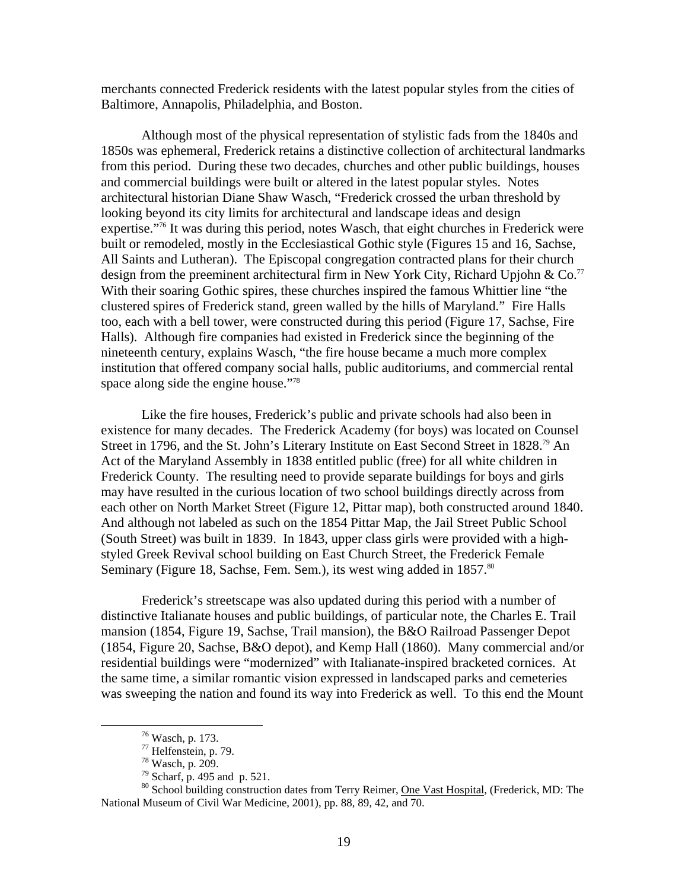merchants connected Frederick residents with the latest popular styles from the cities of Baltimore, Annapolis, Philadelphia, and Boston.

Although most of the physical representation of stylistic fads from the 1840s and 1850s was ephemeral, Frederick retains a distinctive collection of architectural landmarks from this period. During these two decades, churches and other public buildings, houses and commercial buildings were built or altered in the latest popular styles. Notes architectural historian Diane Shaw Wasch, "Frederick crossed the urban threshold by looking beyond its city limits for architectural and landscape ideas and design expertise."<sup>76</sup> It was during this period, notes Wasch, that eight churches in Frederick were built or remodeled, mostly in the Ecclesiastical Gothic style (Figures 15 and 16, Sachse, All Saints and Lutheran). The Episcopal congregation contracted plans for their church design from the preeminent architectural firm in New York City, Richard Upjohn & Co.<sup>[77](#page-20-1)</sup> With their soaring Gothic spires, these churches inspired the famous Whittier line "the clustered spires of Frederick stand, green walled by the hills of Maryland." Fire Halls too, each with a bell tower, were constructed during this period (Figure 17, Sachse, Fire Halls). Although fire companies had existed in Frederick since the beginning of the nineteenth century, explains Wasch, "the fire house became a much more complex institution that offered company social halls, public auditoriums, and commercial rental space along side the engine house."<sup>78</sup>

Like the fire houses, Frederick's public and private schools had also been in existence for many decades. The Frederick Academy (for boys) was located on Counsel Street in 1796, and the St. John's Literary Institute on East Second Street in 1828.<sup>79</sup> An Act of the Maryland Assembly in 1838 entitled public (free) for all white children in Frederick County. The resulting need to provide separate buildings for boys and girls may have resulted in the curious location of two school buildings directly across from each other on North Market Street (Figure 12, Pittar map), both constructed around 1840. And although not labeled as such on the 1854 Pittar Map, the Jail Street Public School (South Street) was built in 1839. In 1843, upper class girls were provided with a highstyled Greek Revival school building on East Church Street, the Frederick Female Seminary (Figure 18, Sachse, Fem. Sem.), its west wing added in 1857.<sup>[80](#page-20-4)</sup>

Frederick's streetscape was also updated during this period with a number of distinctive Italianate houses and public buildings, of particular note, the Charles E. Trail mansion (1854, Figure 19, Sachse, Trail mansion), the B&O Railroad Passenger Depot (1854, Figure 20, Sachse, B&O depot), and Kemp Hall (1860). Many commercial and/or residential buildings were "modernized" with Italianate-inspired bracketed cornices. At the same time, a similar romantic vision expressed in landscaped parks and cemeteries was sweeping the nation and found its way into Frederick as well. To this end the Mount

<span id="page-20-0"></span>

<span id="page-20-1"></span>

<span id="page-20-2"></span>

<span id="page-20-4"></span><span id="page-20-3"></span>

<sup>&</sup>lt;sup>76</sup> Wasch, p. 173.<br>
<sup>77</sup> Helfenstein, p. 79.<br>
<sup>78</sup> Wasch, p. 209.<br>
<sup>79</sup> Scharf, p. 495 and p. 521.<br>
<sup>80</sup> School building construction dates from Terry Reimer, <u>One Vast Hospital</u>, (Frederick, MD: The National Museum of Civil War Medicine, 2001), pp. 88, 89, 42, and 70.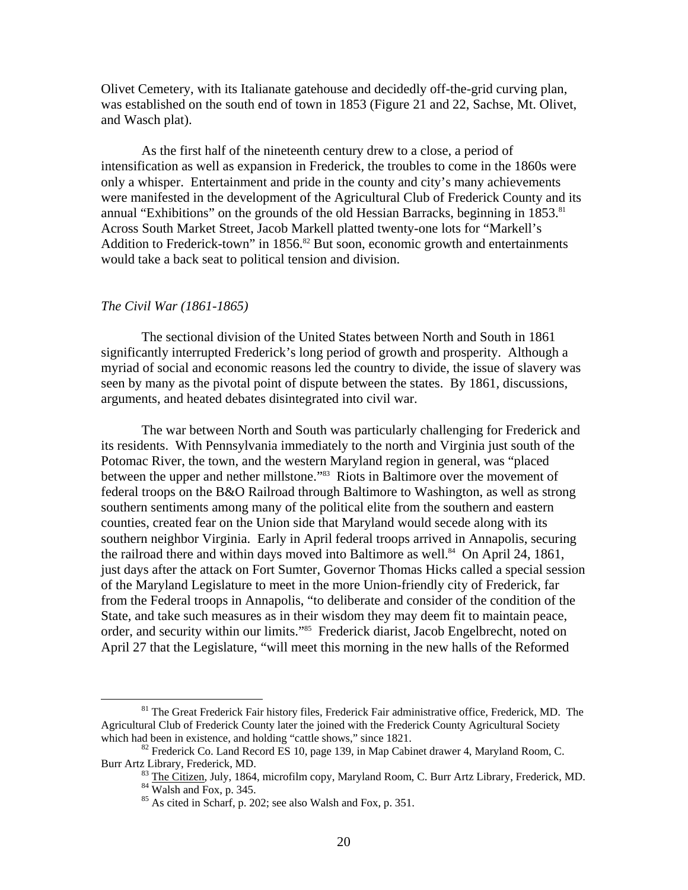Olivet Cemetery, with its Italianate gatehouse and decidedly off-the-grid curving plan, was established on the south end of town in 1853 (Figure 21 and 22, Sachse, Mt. Olivet, and Wasch plat).

As the first half of the nineteenth century drew to a close, a period of intensification as well as expansion in Frederick, the troubles to come in the 1860s were only a whisper. Entertainment and pride in the county and city's many achievements were manifested in the development of the Agricultural Club of Frederick County and its annual "Exhibitions" on the grounds of the old Hessian Barracks, beginning in 1853.<sup>81</sup> Across South Market Street, Jacob Markell platted twenty-one lots for "Markell's Addition to Frederick-town" in  $1856$ .<sup>82</sup> But soon, economic growth and entertainments would take a back seat to political tension and division.

#### *The Civil War (1861-1865)*

The sectional division of the United States between North and South in 1861 significantly interrupted Frederick's long period of growth and prosperity. Although a myriad of social and economic reasons led the country to divide, the issue of slavery was seen by many as the pivotal point of dispute between the states. By 1861, discussions, arguments, and heated debates disintegrated into civil war.

The war between North and South was particularly challenging for Frederick and its residents. With Pennsylvania immediately to the north and Virginia just south of the Potomac River, the town, and the western Maryland region in general, was "placed between the upper and nether millstone."<sup>83</sup> Riots in Baltimore over the movement of federal troops on the B&O Railroad through Baltimore to Washington, as well as strong southern sentiments among many of the political elite from the southern and eastern counties, created fear on the Union side that Maryland would secede along with its southern neighbor Virginia. Early in April federal troops arrived in Annapolis, securing the railroad there and within days moved into Baltimore as well.<sup>84</sup> On April 24, 1861, just days after the attack on Fort Sumter, Governor Thomas Hicks called a special session of the Maryland Legislature to meet in the more Union-friendly city of Frederick, far from the Federal troops in Annapolis, "to deliberate and consider of the condition of the State, and take such measures as in their wisdom they may deem fit to maintain peace, order, and security within our limits."<sup>85</sup> Frederick diarist, Jacob Engelbrecht, noted on April 27 that the Legislature, "will meet this morning in the new halls of the Reformed

<span id="page-21-0"></span><sup>&</sup>lt;sup>81</sup> The Great Frederick Fair history files, Frederick Fair administrative office, Frederick, MD. The Agricultural Club of Frederick County later the joined with the Frederick County Agricultural Society which had been in existence, and holding "cattle shows," since 1821.

 $^{82}$  Frederick Co. Land Record ES 10, page 139, in Map Cabinet drawer 4, Maryland Room, C.

Burr Artz Library, Frederick, MD.<br><sup>83</sup> The Citizen, July, 1864, microfilm copy, Maryland Room, C. Burr Artz Library, Frederick, MD.<br><sup>84</sup> Walsh and Fox, p. 345.<br><sup>85</sup> As cited in Scharf, p. 202; see also Walsh and Fox, p. 35

<span id="page-21-3"></span><span id="page-21-2"></span><span id="page-21-1"></span>

<span id="page-21-4"></span>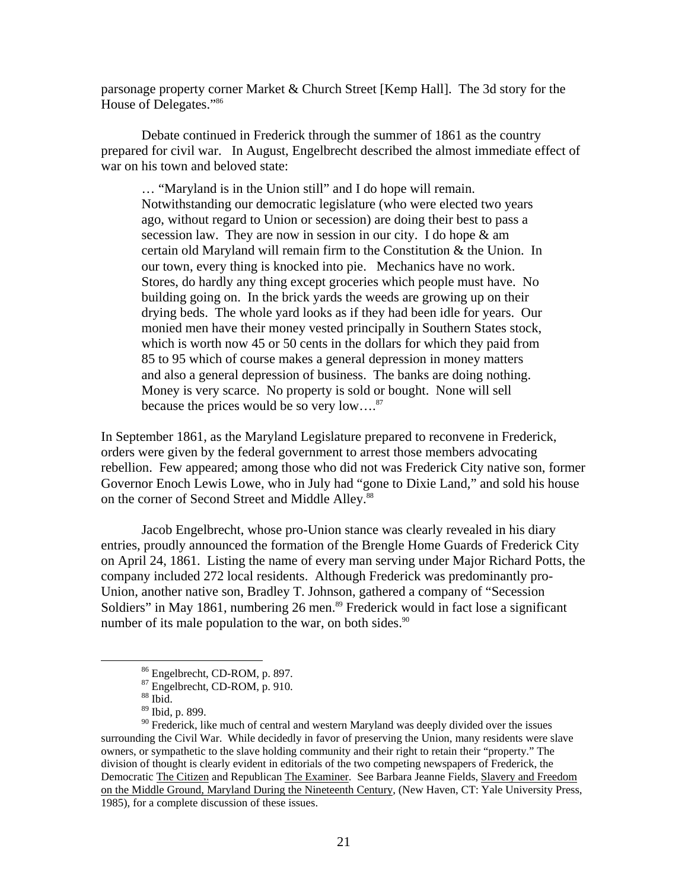parsonage property corner Market & Church Street [Kemp Hall]. The 3d story for the House of Delegates.["86](#page-22-0)

Debate continued in Frederick through the summer of 1861 as the country prepared for civil war. In August, Engelbrecht described the almost immediate effect of war on his town and beloved state:

… "Maryland is in the Union still" and I do hope will remain. Notwithstanding our democratic legislature (who were elected two years ago, without regard to Union or secession) are doing their best to pass a secession law. They are now in session in our city. I do hope & am certain old Maryland will remain firm to the Constitution & the Union. In our town, every thing is knocked into pie. Mechanics have no work. Stores, do hardly any thing except groceries which people must have. No building going on. In the brick yards the weeds are growing up on their drying beds. The whole yard looks as if they had been idle for years. Our monied men have their money vested principally in Southern States stock, which is worth now 45 or 50 cents in the dollars for which they paid from 85 to 95 which of course makes a general depression in money matters and also a general depression of business. The banks are doing nothing. Money is very scarce. No property is sold or bought. None will sell because the prices would be so very  $low...^{87}$ 

In September 1861, as the Maryland Legislature prepared to reconvene in Frederick, orders were given by the federal government to arrest those members advocating rebellion. Few appeared; among those who did not was Frederick City native son, former Governor Enoch Lewis Lowe, who in July had "gone to Dixie Land," and sold his house on the corner of Second Street and Middle Alley.<sup>88</sup>

Jacob Engelbrecht, whose pro-Union stance was clearly revealed in his diary entries, proudly announced the formation of the Brengle Home Guards of Frederick City on April 24, 1861. Listing the name of every man serving under Major Richard Potts, the company included 272 local residents. Although Frederick was predominantly pro-Union, another native son, Bradley T. Johnson, gathered a company of "Secession Soldiers" in May 1861, numbering 26 men.<sup>89</sup> Frederick would in fact lose a significant number of its male population to the war, on both sides. $90$ 

<span id="page-22-0"></span><sup>%</sup> Engelbrecht, CD-ROM, p. 897.<br> $^{87}$  Engelbrecht, CD-ROM, p. 910.<br> $^{88}$  Ibid.

<span id="page-22-1"></span>

<span id="page-22-2"></span>

<span id="page-22-4"></span><span id="page-22-3"></span><sup>89</sup> Ibid, p. 899.

<sup>&</sup>lt;sup>90</sup> Frederick, like much of central and western Maryland was deeply divided over the issues surrounding the Civil War. While decidedly in favor of preserving the Union, many residents were slave owners, or sympathetic to the slave holding community and their right to retain their "property." The division of thought is clearly evident in editorials of the two competing newspapers of Frederick, the Democratic The Citizen and Republican The Examiner. See Barbara Jeanne Fields, Slavery and Freedom on the Middle Ground, Maryland During the Nineteenth Century, (New Haven, CT: Yale University Press, 1985), for a complete discussion of these issues.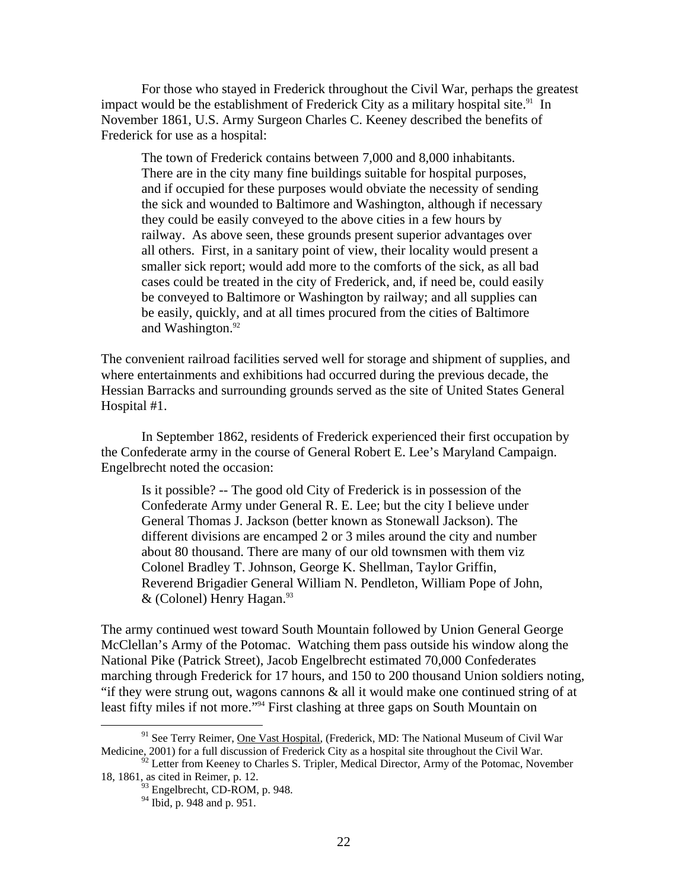For those who stayed in Frederick throughout the Civil War, perhaps the greatest impact would be the establishment of Frederick City as a military hospital site.<sup>91</sup> In November 1861, U.S. Army Surgeon Charles C. Keeney described the benefits of Frederick for use as a hospital:

The town of Frederick contains between 7,000 and 8,000 inhabitants. There are in the city many fine buildings suitable for hospital purposes, and if occupied for these purposes would obviate the necessity of sending the sick and wounded to Baltimore and Washington, although if necessary they could be easily conveyed to the above cities in a few hours by railway. As above seen, these grounds present superior advantages over all others. First, in a sanitary point of view, their locality would present a smaller sick report; would add more to the comforts of the sick, as all bad cases could be treated in the city of Frederick, and, if need be, could easily be conveyed to Baltimore or Washington by railway; and all supplies can be easily, quickly, and at all times procured from the cities of Baltimore and Washington. $92$ 

The convenient railroad facilities served well for storage and shipment of supplies, and where entertainments and exhibitions had occurred during the previous decade, the Hessian Barracks and surrounding grounds served as the site of United States General Hospital #1.

In September 1862, residents of Frederick experienced their first occupation by the Confederate army in the course of General Robert E. Lee's Maryland Campaign. Engelbrecht noted the occasion:

Is it possible? -- The good old City of Frederick is in possession of the Confederate Army under General R. E. Lee; but the city I believe under General Thomas J. Jackson (better known as Stonewall Jackson). The different divisions are encamped 2 or 3 miles around the city and number about 80 thousand. There are many of our old townsmen with them viz Colonel Bradley T. Johnson, George K. Shellman, Taylor Griffin, Reverend Brigadier General William N. Pendleton, William Pope of John,  $&$  (Colonel) Henry Hagan.<sup>93</sup>

The army continued west toward South Mountain followed by Union General George McClellan's Army of the Potomac. Watching them pass outside his window along the National Pike (Patrick Street), Jacob Engelbrecht estimated 70,000 Confederates marching through Frederick for 17 hours, and 150 to 200 thousand Union soldiers noting, "if they were strung out, wagons cannons  $\&$  all it would make one continued string of at least fifty miles if not more."[94 F](#page-23-3)irst clashing at three gaps on South Mountain on

<span id="page-23-0"></span><sup>&</sup>lt;sup>91</sup> See Terry Reimer, One Vast Hospital, (Frederick, MD: The National Museum of Civil War Medicine, 2001) for a full discussion of Frederick City as a hospital site throughout the Civil War.

 $92$  Letter from Keeney to Charles S. Tripler, Medical Director, Army of the Potomac, November 18, 1861, as cited in Reimer, p. 12.

<span id="page-23-2"></span><span id="page-23-1"></span> $^{93}$  Engelbrecht, CD-ROM, p. 948.<br><sup>94</sup> Ibid, p. 948 and p. 951.

<span id="page-23-3"></span>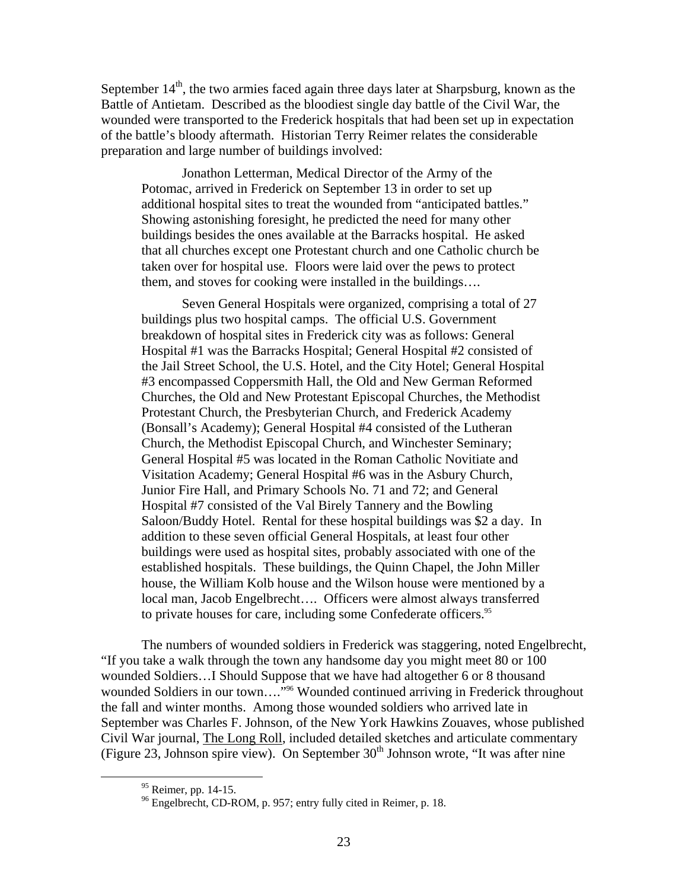September  $14<sup>th</sup>$ , the two armies faced again three days later at Sharpsburg, known as the Battle of Antietam. Described as the bloodiest single day battle of the Civil War, the wounded were transported to the Frederick hospitals that had been set up in expectation of the battle's bloody aftermath. Historian Terry Reimer relates the considerable preparation and large number of buildings involved:

Jonathon Letterman, Medical Director of the Army of the Potomac, arrived in Frederick on September 13 in order to set up additional hospital sites to treat the wounded from "anticipated battles." Showing astonishing foresight, he predicted the need for many other buildings besides the ones available at the Barracks hospital. He asked that all churches except one Protestant church and one Catholic church be taken over for hospital use. Floors were laid over the pews to protect them, and stoves for cooking were installed in the buildings….

Seven General Hospitals were organized, comprising a total of 27 buildings plus two hospital camps. The official U.S. Government breakdown of hospital sites in Frederick city was as follows: General Hospital #1 was the Barracks Hospital; General Hospital #2 consisted of the Jail Street School, the U.S. Hotel, and the City Hotel; General Hospital #3 encompassed Coppersmith Hall, the Old and New German Reformed Churches, the Old and New Protestant Episcopal Churches, the Methodist Protestant Church, the Presbyterian Church, and Frederick Academy (Bonsall's Academy); General Hospital #4 consisted of the Lutheran Church, the Methodist Episcopal Church, and Winchester Seminary; General Hospital #5 was located in the Roman Catholic Novitiate and Visitation Academy; General Hospital #6 was in the Asbury Church, Junior Fire Hall, and Primary Schools No. 71 and 72; and General Hospital #7 consisted of the Val Birely Tannery and the Bowling Saloon/Buddy Hotel. Rental for these hospital buildings was \$2 a day. In addition to these seven official General Hospitals, at least four other buildings were used as hospital sites, probably associated with one of the established hospitals. These buildings, the Quinn Chapel, the John Miller house, the William Kolb house and the Wilson house were mentioned by a local man, Jacob Engelbrecht…. Officers were almost always transferred to private houses for care, including some Confederate officers.<sup>95</sup>

The numbers of wounded soldiers in Frederick was staggering, noted Engelbrecht, "If you take a walk through the town any handsome day you might meet 80 or 100 wounded Soldiers…I Should Suppose that we have had altogether 6 or 8 thousand wounded Soldiers in our town...."<sup>96</sup> Wounded continued arriving in Frederick throughout the fall and winter months. Among those wounded soldiers who arrived late in September was Charles F. Johnson, of the New York Hawkins Zouaves, whose published Civil War journal, The Long Roll, included detailed sketches and articulate commentary (Figure 23, Johnson spire view). On September  $30<sup>th</sup>$  Johnson wrote, "It was after nine

<span id="page-24-1"></span><span id="page-24-0"></span>

<sup>&</sup>lt;sup>95</sup> Reimer, pp. 14-15.<br><sup>96</sup> Engelbrecht, CD-ROM, p. 957; entry fully cited in Reimer, p. 18.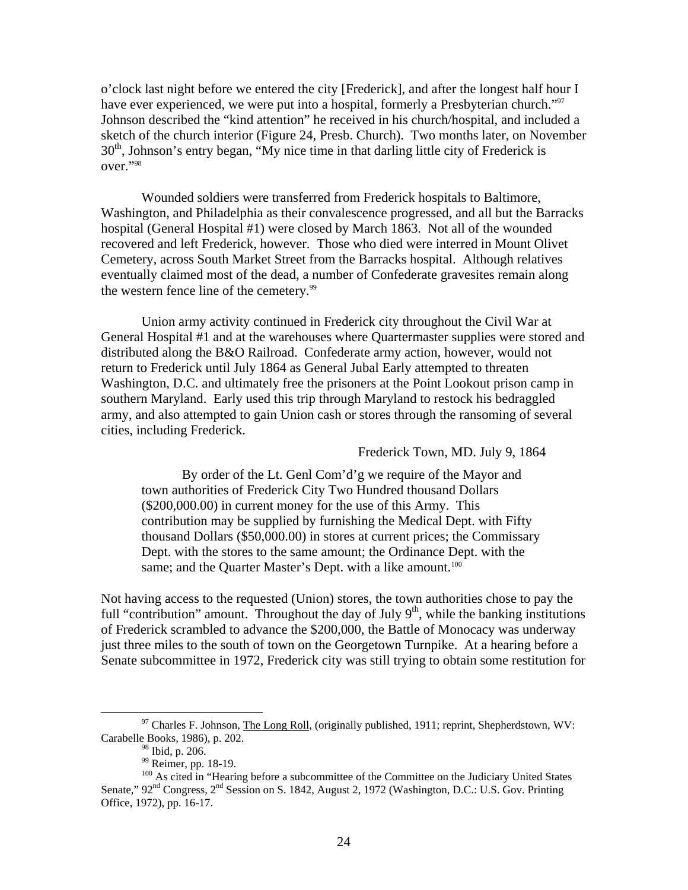o'clock last night before we entered the city [Frederick], and after the longest half hour I have ever experienced, we were put into a hospital, formerly a Presbyterian church."<sup>[97](#page-25-0)</sup> Johnson described the "kind attention" he received in his church/hospital, and included a sketch of the church interior (Figure 24, Presb. Church). Two months later, on November  $30<sup>th</sup>$ , Johnson's entry began, "My nice time in that darling little city of Frederick is over."[98](#page-25-1) 

Wounded soldiers were transferred from Frederick hospitals to Baltimore, Washington, and Philadelphia as their convalescence progressed, and all but the Barracks hospital (General Hospital #1) were closed by March 1863. Not all of the wounded recovered and left Frederick, however. Those who died were interred in Mount Olivet Cemetery, across South Market Street from the Barracks hospital. Although relatives eventually claimed most of the dead, a number of Confederate gravesites remain along the western fence line of the cemetery.<sup>[99](#page-25-2)</sup>

Union army activity continued in Frederick city throughout the Civil War at General Hospital #1 and at the warehouses where Quartermaster supplies were stored and distributed along the B&O Railroad. Confederate army action, however, would not return to Frederick until July 1864 as General Jubal Early attempted to threaten Washington, D.C. and ultimately free the prisoners at the Point Lookout prison camp in southern Maryland. Early used this trip through Maryland to restock his bedraggled army, and also attempted to gain Union cash or stores through the ransoming of several cities, including Frederick.

## Frederick Town, MD. July 9, 1864

By order of the Lt. Genl Com'd'g we require of the Mayor and town authorities of Frederick City Two Hundred thousand Dollars (\$200,000.00) in current money for the use of this Army. This contribution may be supplied by furnishing the Medical Dept. with Fifty thousand Dollars (\$50,000.00) in stores at current prices; the Commissary Dept. with the stores to the same amount; the Ordinance Dept. with the same; and the Quarter Master's Dept. with a like amount.<sup>[100](#page-25-3)</sup>

Not having access to the requested (Union) stores, the town authorities chose to pay the full "contribution" amount. Throughout the day of July  $9<sup>th</sup>$ , while the banking institutions of Frederick scrambled to advance the \$200,000, the Battle of Monocacy was underway just three miles to the south of town on the Georgetown Turnpike. At a hearing before a Senate subcommittee in 1972, Frederick city was still trying to obtain some restitution for

 $97$  Charles F. Johnson, The Long Roll, (originally published, 1911; reprint, Shepherdstown, WV: Carabelle Books, 1986), p. 202.

<span id="page-25-1"></span><span id="page-25-0"></span>

<span id="page-25-3"></span><span id="page-25-2"></span>

<sup>&</sup>lt;sup>99</sup> Reimer, pp. 18-19. 100 As cited in "Hearing before a subcommittee of the Committee on the Judiciary United States Senate," 92<sup>nd</sup> Congress, 2<sup>nd</sup> Session on S. 1842, August 2, 1972 (Washington, D.C.: U.S. Gov. Printing Office, 1972), pp. 16-17.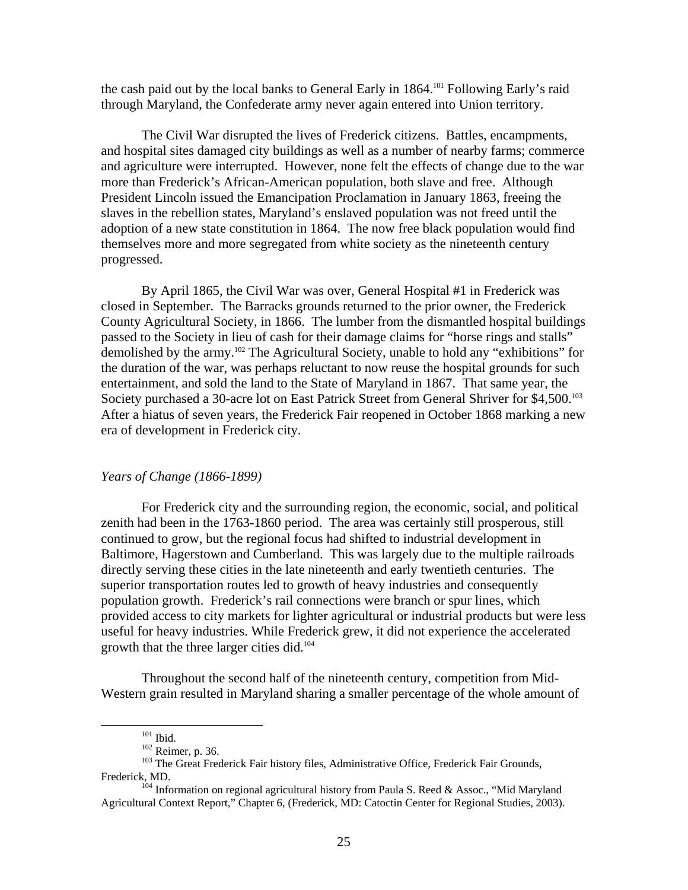the cash paid out by the local banks to General Early in 1864.<sup>101</sup> Following Early's raid through Maryland, the Confederate army never again entered into Union territory.

The Civil War disrupted the lives of Frederick citizens. Battles, encampments, and hospital sites damaged city buildings as well as a number of nearby farms; commerce and agriculture were interrupted. However, none felt the effects of change due to the war more than Frederick's African-American population, both slave and free. Although President Lincoln issued the Emancipation Proclamation in January 1863, freeing the slaves in the rebellion states, Maryland's enslaved population was not freed until the adoption of a new state constitution in 1864. The now free black population would find themselves more and more segregated from white society as the nineteenth century progressed.

By April 1865, the Civil War was over, General Hospital #1 in Frederick was closed in September. The Barracks grounds returned to the prior owner, the Frederick County Agricultural Society, in 1866. The lumber from the dismantled hospital buildings passed to the Society in lieu of cash for their damage claims for "horse rings and stalls" demolished by the army. [102 T](#page-26-1)he Agricultural Society, unable to hold any "exhibitions" for the duration of the war, was perhaps reluctant to now reuse the hospital grounds for such entertainment, and sold the land to the State of Maryland in 1867. That same year, the Society purchased a 30-acre lot on East Patrick Street from General Shriver for \$4,500.<sup>103</sup> After a hiatus of seven years, the Frederick Fair reopened in October 1868 marking a new era of development in Frederick city.

## *Years of Change (1866-1899)*

For Frederick city and the surrounding region, the economic, social, and political zenith had been in the 1763-1860 period. The area was certainly still prosperous, still continued to grow, but the regional focus had shifted to industrial development in Baltimore, Hagerstown and Cumberland. This was largely due to the multiple railroads directly serving these cities in the late nineteenth and early twentieth centuries. The superior transportation routes led to growth of heavy industries and consequently population growth. Frederick's rail connections were branch or spur lines, which provided access to city markets for lighter agricultural or industrial products but were less useful for heavy industries. While Frederick grew, it did not experience the accelerated growth that the three larger cities did[.104](#page-26-3)

Throughout the second half of the nineteenth century, competition from Mid-Western grain resulted in Maryland sharing a smaller percentage of the whole amount of

<span id="page-26-0"></span>

<span id="page-26-3"></span><span id="page-26-2"></span><span id="page-26-1"></span>

<sup>&</sup>lt;sup>102</sup> Reimer, p. 36.<br><sup>102</sup> Reimer, p. 36. 103 The Great Frederick Fair history files, Administrative Office, Frederick Fair Grounds, Frederick, MD.<br><sup>104</sup> Information on regional agricultural history from Paula S. Reed & Assoc., "Mid Maryland

Agricultural Context Report," Chapter 6, (Frederick, MD: Catoctin Center for Regional Studies, 2003).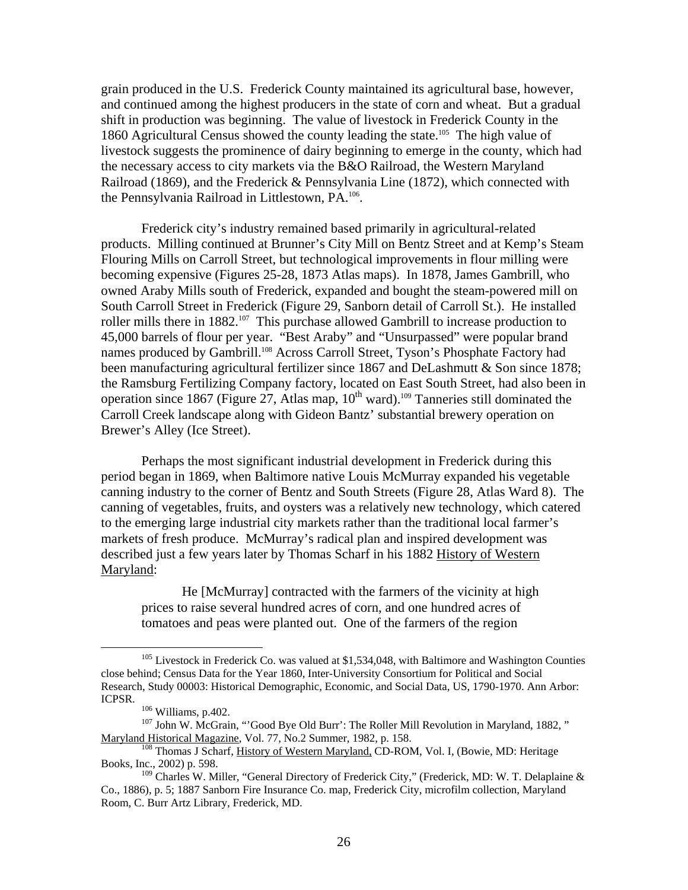grain produced in the U.S. Frederick County maintained its agricultural base, however, and continued among the highest producers in the state of corn and wheat. But a gradual shift in production was beginning. The value of livestock in Frederick County in the 1860 Agricultural Census showed the county leading the state.[105](#page-27-0) The high value of livestock suggests the prominence of dairy beginning to emerge in the county, which had the necessary access to city markets via the B&O Railroad, the Western Maryland Railroad (1869), and the Frederick & Pennsylvania Line (1872), which connected with the Pennsylvania Railroad in Littlestown, PA.[106.](#page-27-1) 

Frederick city's industry remained based primarily in agricultural-related products. Milling continued at Brunner's City Mill on Bentz Street and at Kemp's Steam Flouring Mills on Carroll Street, but technological improvements in flour milling were becoming expensive (Figures 25-28, 1873 Atlas maps). In 1878, James Gambrill, who owned Araby Mills south of Frederick, expanded and bought the steam-powered mill on South Carroll Street in Frederick (Figure 29, Sanborn detail of Carroll St.). He installed roller mills there in 1882.<sup>107</sup> This purchase allowed Gambrill to increase production to 45,000 barrels of flour per year. "Best Araby" and "Unsurpassed" were popular brand names produced by Gambrill.<sup>108</sup> Across Carroll Street, Tyson's Phosphate Factory had been manufacturing agricultural fertilizer since 1867 and DeLashmutt & Son since 1878; the Ramsburg Fertilizing Company factory, located on East South Street, had also been in operation since 1867 (Figure 27, Atlas map,  $10^{th}$  ward).<sup>109</sup> Tanneries still dominated the Carroll Creek landscape along with Gideon Bantz' substantial brewery operation on Brewer's Alley (Ice Street).

Perhaps the most significant industrial development in Frederick during this period began in 1869, when Baltimore native Louis McMurray expanded his vegetable canning industry to the corner of Bentz and South Streets (Figure 28, Atlas Ward 8). The canning of vegetables, fruits, and oysters was a relatively new technology, which catered to the emerging large industrial city markets rather than the traditional local farmer's markets of fresh produce. McMurray's radical plan and inspired development was described just a few years later by Thomas Scharf in his 1882 History of Western Maryland:

He [McMurray] contracted with the farmers of the vicinity at high prices to raise several hundred acres of corn, and one hundred acres of tomatoes and peas were planted out. One of the farmers of the region

<sup>&</sup>lt;sup>105</sup> Livestock in Frederick Co. was valued at \$1,534,048, with Baltimore and Washington Counties close behind; Census Data for the Year 1860, Inter-University Consortium for Political and Social Research, Study 00003: Historical Demographic, Economic, and Social Data, US, 1790-1970. Ann Arbor:

<span id="page-27-3"></span><span id="page-27-2"></span><span id="page-27-1"></span><span id="page-27-0"></span>

<sup>&</sup>lt;sup>106</sup> Williams, p.402.<br><sup>107</sup> John W. McGrain, "'Good Bye Old Burr': The Roller Mill Revolution in Maryland, 1882, "<br>Maryland Historical Magazine, Vol. 77, No.2 Summer, 1982, p. 158.

<sup>&</sup>lt;sup>108</sup> Thomas J Scharf, <u>History of Western Maryland,</u> CD-ROM, Vol. I, (Bowie, MD: Heritage Books, Inc., 2002) p. 598.

<span id="page-27-4"></span><sup>&</sup>lt;sup>109</sup> Charles W. Miller, "General Directory of Frederick City," (Frederick, MD: W. T. Delaplaine & Co., 1886), p. 5; 1887 Sanborn Fire Insurance Co. map, Frederick City, microfilm collection, Maryland Room, C. Burr Artz Library, Frederick, MD.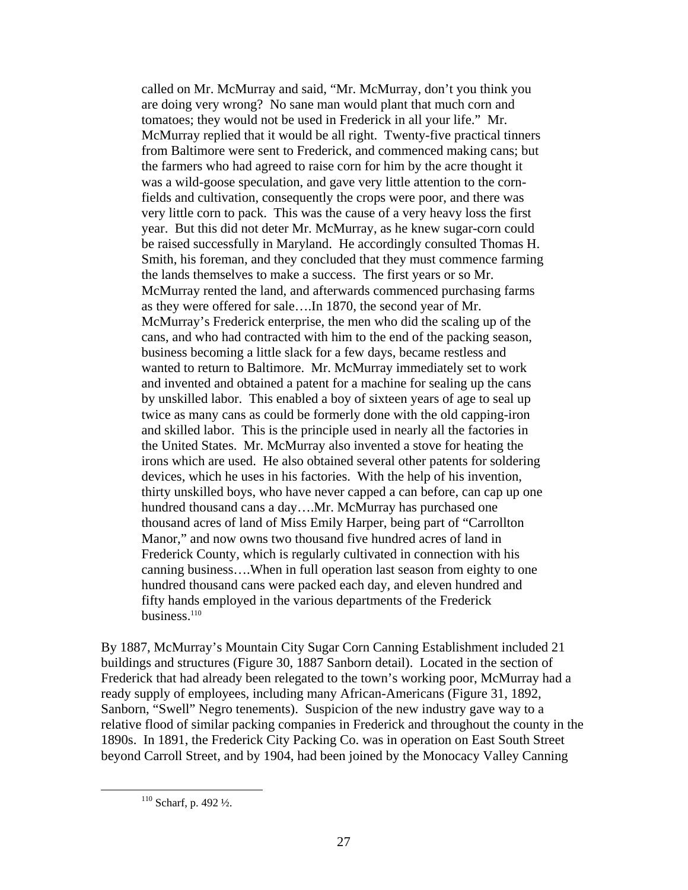called on Mr. McMurray and said, "Mr. McMurray, don't you think you are doing very wrong? No sane man would plant that much corn and tomatoes; they would not be used in Frederick in all your life." Mr. McMurray replied that it would be all right. Twenty-five practical tinners from Baltimore were sent to Frederick, and commenced making cans; but the farmers who had agreed to raise corn for him by the acre thought it was a wild-goose speculation, and gave very little attention to the cornfields and cultivation, consequently the crops were poor, and there was very little corn to pack. This was the cause of a very heavy loss the first year. But this did not deter Mr. McMurray, as he knew sugar-corn could be raised successfully in Maryland. He accordingly consulted Thomas H. Smith, his foreman, and they concluded that they must commence farming the lands themselves to make a success. The first years or so Mr. McMurray rented the land, and afterwards commenced purchasing farms as they were offered for sale….In 1870, the second year of Mr. McMurray's Frederick enterprise, the men who did the scaling up of the cans, and who had contracted with him to the end of the packing season, business becoming a little slack for a few days, became restless and wanted to return to Baltimore. Mr. McMurray immediately set to work and invented and obtained a patent for a machine for sealing up the cans by unskilled labor. This enabled a boy of sixteen years of age to seal up twice as many cans as could be formerly done with the old capping-iron and skilled labor. This is the principle used in nearly all the factories in the United States. Mr. McMurray also invented a stove for heating the irons which are used. He also obtained several other patents for soldering devices, which he uses in his factories. With the help of his invention, thirty unskilled boys, who have never capped a can before, can cap up one hundred thousand cans a day....Mr. McMurray has purchased one thousand acres of land of Miss Emily Harper, being part of "Carrollton Manor," and now owns two thousand five hundred acres of land in Frederick County, which is regularly cultivated in connection with his canning business….When in full operation last season from eighty to one hundred thousand cans were packed each day, and eleven hundred and fifty hands employed in the various departments of the Frederick business.<sup>110</sup>

By 1887, McMurray's Mountain City Sugar Corn Canning Establishment included 21 buildings and structures (Figure 30, 1887 Sanborn detail). Located in the section of Frederick that had already been relegated to the town's working poor, McMurray had a ready supply of employees, including many African-Americans (Figure 31, 1892, Sanborn, "Swell" Negro tenements). Suspicion of the new industry gave way to a relative flood of similar packing companies in Frederick and throughout the county in the 1890s. In 1891, the Frederick City Packing Co. was in operation on East South Street beyond Carroll Street, and by 1904, had been joined by the Monocacy Valley Canning

<span id="page-28-0"></span> <sup>110</sup> Scharf, p. 492 ½.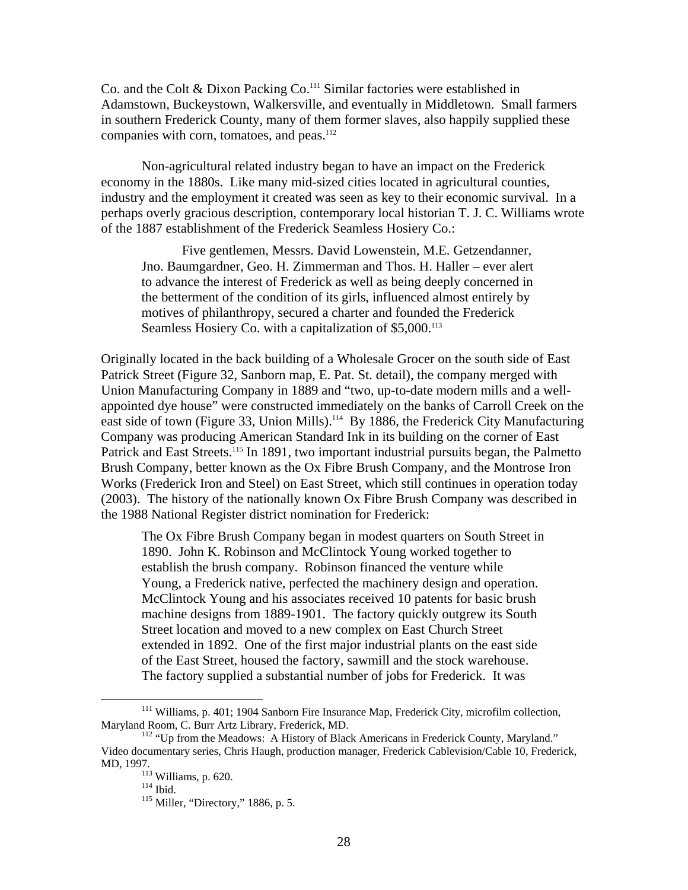Co. and the Colt & Dixon Packing Co.[111 S](#page-29-0)imilar factories were established in Adamstown, Buckeystown, Walkersville, and eventually in Middletown. Small farmers in southern Frederick County, many of them former slaves, also happily supplied these companies with corn, tomatoes, and peas.<sup>[112](#page-29-1)</sup>

Non-agricultural related industry began to have an impact on the Frederick economy in the 1880s. Like many mid-sized cities located in agricultural counties, industry and the employment it created was seen as key to their economic survival. In a perhaps overly gracious description, contemporary local historian T. J. C. Williams wrote of the 1887 establishment of the Frederick Seamless Hosiery Co.:

Five gentlemen, Messrs. David Lowenstein, M.E. Getzendanner, Jno. Baumgardner, Geo. H. Zimmerman and Thos. H. Haller – ever alert to advance the interest of Frederick as well as being deeply concerned in the betterment of the condition of its girls, influenced almost entirely by motives of philanthropy, secured a charter and founded the Frederick Seamless Hosiery Co. with a capitalization of \$5,000.<sup>[113](#page-29-2)</sup>

Originally located in the back building of a Wholesale Grocer on the south side of East Patrick Street (Figure 32, Sanborn map, E. Pat. St. detail), the company merged with Union Manufacturing Company in 1889 and "two, up-to-date modern mills and a wellappointed dye house" were constructed immediately on the banks of Carroll Creek on the east side of town (Figure 33, Union Mills).<sup>114</sup> By 1886, the Frederick City Manufacturing Company was producing American Standard Ink in its building on the corner of East Patrick and East Streets.<sup>115</sup> In 1891, two important industrial pursuits began, the Palmetto Brush Company, better known as the Ox Fibre Brush Company, and the Montrose Iron Works (Frederick Iron and Steel) on East Street, which still continues in operation today (2003). The history of the nationally known Ox Fibre Brush Company was described in the 1988 National Register district nomination for Frederick:

The Ox Fibre Brush Company began in modest quarters on South Street in 1890. John K. Robinson and McClintock Young worked together to establish the brush company. Robinson financed the venture while Young, a Frederick native, perfected the machinery design and operation. McClintock Young and his associates received 10 patents for basic brush machine designs from 1889-1901. The factory quickly outgrew its South Street location and moved to a new complex on East Church Street extended in 1892. One of the first major industrial plants on the east side of the East Street, housed the factory, sawmill and the stock warehouse. The factory supplied a substantial number of jobs for Frederick. It was

<span id="page-29-0"></span><sup>&</sup>lt;sup>111</sup> Williams, p. 401; 1904 Sanborn Fire Insurance Map, Frederick City, microfilm collection, Maryland Room, C. Burr Artz Library, Frederick, MD.

<sup>&</sup>lt;sup>112</sup> "Up from the Meadows: A History of Black Americans in Frederick County, Maryland." Video documentary series, Chris Haugh, production manager, Frederick Cablevision/Cable 10, Frederick, MD, 1997.<br><sup>113</sup> Williams, p. 620.<br><sup>114</sup> Ibid. <sup>115</sup> Miller, "Directory," 1886, p. 5.

<span id="page-29-1"></span>

<span id="page-29-3"></span><span id="page-29-2"></span>

<span id="page-29-4"></span>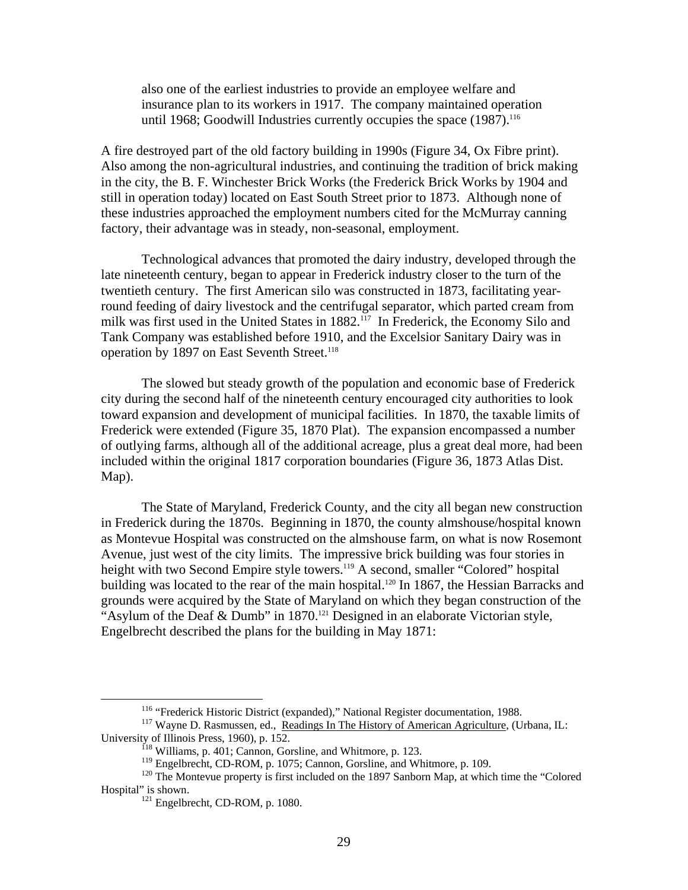also one of the earliest industries to provide an employee welfare and insurance plan to its workers in 1917. The company maintained operation until 1968; Goodwill Industries currently occupies the space  $(1987)$ .<sup>[116](#page-30-0)</sup>

A fire destroyed part of the old factory building in 1990s (Figure 34, Ox Fibre print). Also among the non-agricultural industries, and continuing the tradition of brick making in the city, the B. F. Winchester Brick Works (the Frederick Brick Works by 1904 and still in operation today) located on East South Street prior to 1873. Although none of these industries approached the employment numbers cited for the McMurray canning factory, their advantage was in steady, non-seasonal, employment.

Technological advances that promoted the dairy industry, developed through the late nineteenth century, began to appear in Frederick industry closer to the turn of the twentieth century. The first American silo was constructed in 1873, facilitating yearround feeding of dairy livestock and the centrifugal separator, which parted cream from milk was first used in the United States in 1882.<sup>117</sup> In Frederick, the Economy Silo and Tank Company was established before 1910, and the Excelsior Sanitary Dairy was in operation by 1897 on East Seventh Street.<sup>118</sup>

The slowed but steady growth of the population and economic base of Frederick city during the second half of the nineteenth century encouraged city authorities to look toward expansion and development of municipal facilities. In 1870, the taxable limits of Frederick were extended (Figure 35, 1870 Plat). The expansion encompassed a number of outlying farms, although all of the additional acreage, plus a great deal more, had been included within the original 1817 corporation boundaries (Figure 36, 1873 Atlas Dist. Map).

The State of Maryland, Frederick County, and the city all began new construction in Frederick during the 1870s. Beginning in 1870, the county almshouse/hospital known as Montevue Hospital was constructed on the almshouse farm, on what is now Rosemont Avenue, just west of the city limits. The impressive brick building was four stories in height with two Second Empire style towers.<sup>119</sup> A second, smaller "Colored" hospital building was located to the rear of the main hospital.<sup>120</sup> In 1867, the Hessian Barracks and grounds were acquired by the State of Maryland on which they began construction of the "Asylum of the Deaf & Dumb" in 1870.<sup>121</sup> Designed in an elaborate Victorian style, Engelbrecht described the plans for the building in May 1871:

<span id="page-30-1"></span><span id="page-30-0"></span>

<sup>&</sup>lt;sup>116</sup> "Frederick Historic District (expanded)," National Register documentation, 1988.<br><sup>117</sup> Wayne D. Rasmussen, ed., <u>Readings In The History of American Agriculture</u>, (Urbana, IL: University of Illinois Press, 1960), p. 152.<br><sup>118</sup> Williams, p. 401; Cannon, Gorsline, and Whitmore, p. 123.<br><sup>119</sup> Engelbrecht, CD-ROM, p. 1075; Cannon, Gorsline, and Whitmore, p. 109.

<span id="page-30-2"></span>

<span id="page-30-4"></span><span id="page-30-3"></span>

<sup>&</sup>lt;sup>120</sup> The Montevue property is first included on the 1897 Sanborn Map, at which time the "Colored Hospital" is shown.<br><sup>121</sup> Engelbrecht, CD-ROM, p. 1080.

<span id="page-30-5"></span>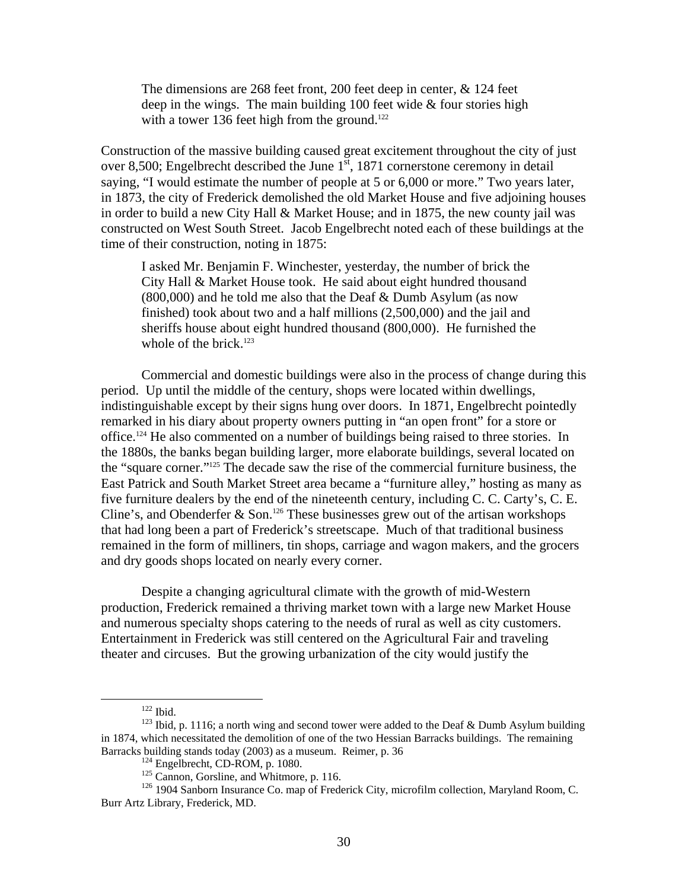The dimensions are 268 feet front, 200 feet deep in center, & 124 feet deep in the wings. The main building 100 feet wide & four stories high with a tower 136 feet high from the ground.<sup>[122](#page-31-0)</sup>

Construction of the massive building caused great excitement throughout the city of just over 8,500; Engelbrecht described the June  $1^{\overline{st}}$ , 1871 cornerstone ceremony in detail saying, "I would estimate the number of people at 5 or 6,000 or more." Two years later, in 1873, the city of Frederick demolished the old Market House and five adjoining houses in order to build a new City Hall & Market House; and in 1875, the new county jail was constructed on West South Street. Jacob Engelbrecht noted each of these buildings at the time of their construction, noting in 1875:

I asked Mr. Benjamin F. Winchester, yesterday, the number of brick the City Hall & Market House took. He said about eight hundred thousand (800,000) and he told me also that the Deaf & Dumb Asylum (as now finished) took about two and a half millions (2,500,000) and the jail and sheriffs house about eight hundred thousand (800,000). He furnished the whole of the brick. $123$ 

Commercial and domestic buildings were also in the process of change during this period. Up until the middle of the century, shops were located within dwellings, indistinguishable except by their signs hung over doors. In 1871, Engelbrecht pointedly remarked in his diary about property owners putting in "an open front" for a store or office.[124 H](#page-31-2)e also commented on a number of buildings being raised to three stories. In the 1880s, the banks began building larger, more elaborate buildings, several located on the "square corner.["125 T](#page-31-3)he decade saw the rise of the commercial furniture business, the East Patrick and South Market Street area became a "furniture alley," hosting as many as five furniture dealers by the end of the nineteenth century, including C. C. Carty's, C. E. Cline's, and Obenderfer  $\&$  Son.<sup>126</sup> These businesses grew out of the artisan workshops that had long been a part of Frederick's streetscape. Much of that traditional business remained in the form of milliners, tin shops, carriage and wagon makers, and the grocers and dry goods shops located on nearly every corner.

Despite a changing agricultural climate with the growth of mid-Western production, Frederick remained a thriving market town with a large new Market House and numerous specialty shops catering to the needs of rural as well as city customers. Entertainment in Frederick was still centered on the Agricultural Fair and traveling theater and circuses. But the growing urbanization of the city would justify the

<span id="page-31-1"></span><span id="page-31-0"></span>

<sup>&</sup>lt;sup>122</sup> Ibid.<br><sup>123</sup> Ibid, p. 1116; a north wing and second tower were added to the Deaf & Dumb Asylum building in 1874, which necessitated the demolition of one of the two Hessian Barracks buildings. The remaining Barracks building stands today (2003) as a museum. Reimer, p. 36<br><sup>124</sup> Engelbrecht, CD-ROM, p. 1080.<br><sup>125</sup> Cannon, Gorsline, and Whitmore, p. 116.<br><sup>126</sup> 1904 Sanborn Insurance Co. map of Frederick City, microfilm collectio

<span id="page-31-2"></span>

<span id="page-31-4"></span><span id="page-31-3"></span>

Burr Artz Library, Frederick, MD.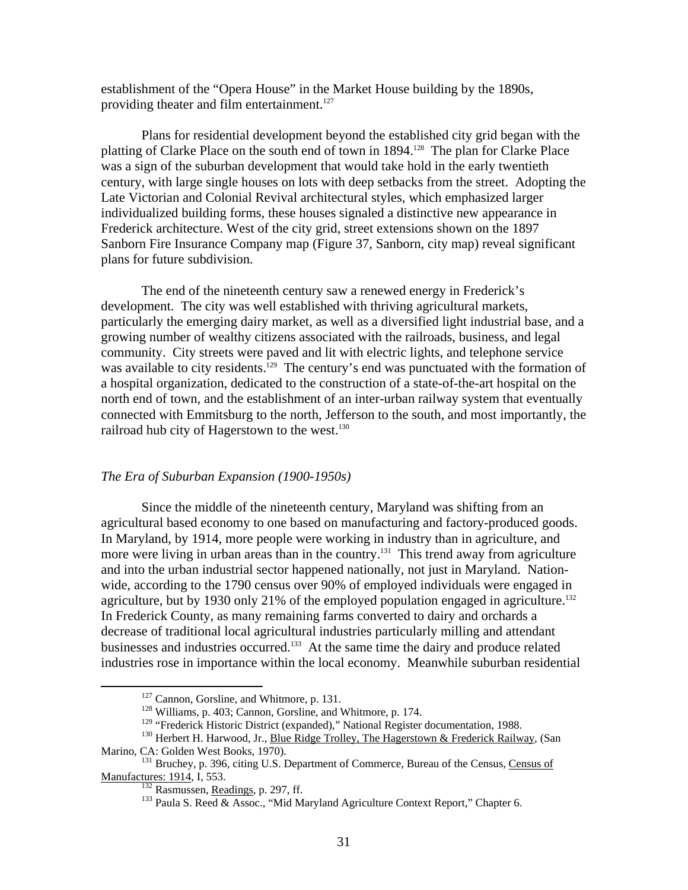establishment of the "Opera House" in the Market House building by the 1890s, providing theater and film entertainment.<sup>127</sup>

Plans for residential development beyond the established city grid began with the platting of Clarke Place on the south end of town in 1894.<sup>128</sup> The plan for Clarke Place was a sign of the suburban development that would take hold in the early twentieth century, with large single houses on lots with deep setbacks from the street. Adopting the Late Victorian and Colonial Revival architectural styles, which emphasized larger individualized building forms, these houses signaled a distinctive new appearance in Frederick architecture. West of the city grid, street extensions shown on the 1897 Sanborn Fire Insurance Company map (Figure 37, Sanborn, city map) reveal significant plans for future subdivision.

The end of the nineteenth century saw a renewed energy in Frederick's development. The city was well established with thriving agricultural markets, particularly the emerging dairy market, as well as a diversified light industrial base, and a growing number of wealthy citizens associated with the railroads, business, and legal community. City streets were paved and lit with electric lights, and telephone service was available to city residents.<sup>129</sup> The century's end was punctuated with the formation of a hospital organization, dedicated to the construction of a state-of-the-art hospital on the north end of town, and the establishment of an inter-urban railway system that eventually connected with Emmitsburg to the north, Jefferson to the south, and most importantly, the railroad hub city of Hagerstown to the west.<sup>130</sup>

#### *The Era of Suburban Expansion (1900-1950s)*

Since the middle of the nineteenth century, Maryland was shifting from an agricultural based economy to one based on manufacturing and factory-produced goods. In Maryland, by 1914, more people were working in industry than in agriculture, and more were living in urban areas than in the country.<sup>131</sup> This trend away from agriculture and into the urban industrial sector happened nationally, not just in Maryland. Nationwide, according to the 1790 census over 90% of employed individuals were engaged in agriculture, but by 1930 only 21% of the employed population engaged in agriculture.<sup>132</sup> In Frederick County, as many remaining farms converted to dairy and orchards a decrease of traditional local agricultural industries particularly milling and attendant businesses and industries occurred.<sup>133</sup> At the same time the dairy and produce related industries rose in importance within the local economy. Meanwhile suburban residential

<span id="page-32-0"></span>

<span id="page-32-3"></span><span id="page-32-2"></span><span id="page-32-1"></span>

<sup>&</sup>lt;sup>127</sup> Cannon, Gorsline, and Whitmore, p. 131.<br><sup>128</sup> Williams, p. 403; Cannon, Gorsline, and Whitmore, p. 174.<br><sup>129</sup> "Frederick Historic District (expanded)," National Register documentation, 1988.

<sup>&</sup>lt;sup>130</sup> Herbert H. Harwood, Jr., *Blue Ridge Trolley, The Hagerstown & Frederick Railway*, (San

Marino, CA: Golden West Books, 1970).<br><sup>131</sup> Bruchey, p. 396, citing U.S. Department of Commerce, Bureau of the Census, <u>Census of</u> Manufactures: 1914, I, 553.

<span id="page-32-6"></span><span id="page-32-5"></span>

<span id="page-32-4"></span><sup>&</sup>lt;sup>132</sup> Rasmussen, <u>Readings</u>, p. 297, ff.<br><sup>133</sup> Paula S. Reed & Assoc., "Mid Maryland Agriculture Context Report," Chapter 6.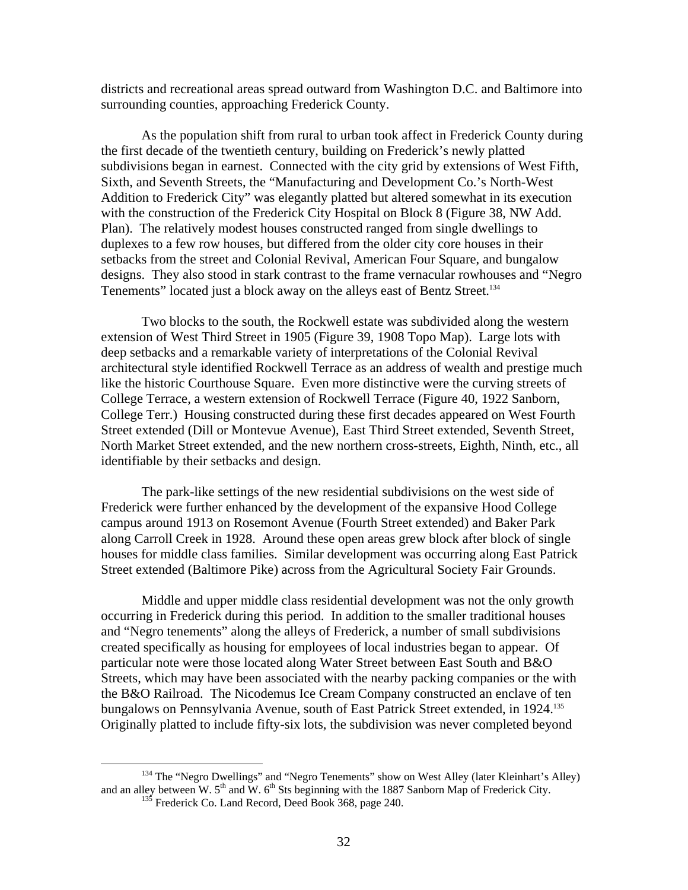districts and recreational areas spread outward from Washington D.C. and Baltimore into surrounding counties, approaching Frederick County.

As the population shift from rural to urban took affect in Frederick County during the first decade of the twentieth century, building on Frederick's newly platted subdivisions began in earnest. Connected with the city grid by extensions of West Fifth, Sixth, and Seventh Streets, the "Manufacturing and Development Co.'s North-West Addition to Frederick City" was elegantly platted but altered somewhat in its execution with the construction of the Frederick City Hospital on Block 8 (Figure 38, NW Add. Plan). The relatively modest houses constructed ranged from single dwellings to duplexes to a few row houses, but differed from the older city core houses in their setbacks from the street and Colonial Revival, American Four Square, and bungalow designs. They also stood in stark contrast to the frame vernacular rowhouses and "Negro Tenements" located just a block away on the alleys east of Bentz Street.<sup>134</sup>

Two blocks to the south, the Rockwell estate was subdivided along the western extension of West Third Street in 1905 (Figure 39, 1908 Topo Map). Large lots with deep setbacks and a remarkable variety of interpretations of the Colonial Revival architectural style identified Rockwell Terrace as an address of wealth and prestige much like the historic Courthouse Square. Even more distinctive were the curving streets of College Terrace, a western extension of Rockwell Terrace (Figure 40, 1922 Sanborn, College Terr.) Housing constructed during these first decades appeared on West Fourth Street extended (Dill or Montevue Avenue), East Third Street extended, Seventh Street, North Market Street extended, and the new northern cross-streets, Eighth, Ninth, etc., all identifiable by their setbacks and design.

The park-like settings of the new residential subdivisions on the west side of Frederick were further enhanced by the development of the expansive Hood College campus around 1913 on Rosemont Avenue (Fourth Street extended) and Baker Park along Carroll Creek in 1928. Around these open areas grew block after block of single houses for middle class families. Similar development was occurring along East Patrick Street extended (Baltimore Pike) across from the Agricultural Society Fair Grounds.

Middle and upper middle class residential development was not the only growth occurring in Frederick during this period. In addition to the smaller traditional houses and "Negro tenements" along the alleys of Frederick, a number of small subdivisions created specifically as housing for employees of local industries began to appear. Of particular note were those located along Water Street between East South and B&O Streets, which may have been associated with the nearby packing companies or the with the B&O Railroad. The Nicodemus Ice Cream Company constructed an enclave of ten bungalows on Pennsylvania Avenue, south of East Patrick Street extended, in 1924.<sup>[135](#page-33-1)</sup> Originally platted to include fifty-six lots, the subdivision was never completed beyond

<sup>&</sup>lt;sup>134</sup> The "Negro Dwellings" and "Negro Tenements" show on West Alley (later Kleinhart's Alley) and an alley between W.  $5<sup>th</sup>$  and W.  $6<sup>th</sup>$  Sts beginning with the 1887 Sanborn Map of Frederick City. 135 Frederick Co. Land Record, Deed Book 368, page 240.

<span id="page-33-1"></span><span id="page-33-0"></span>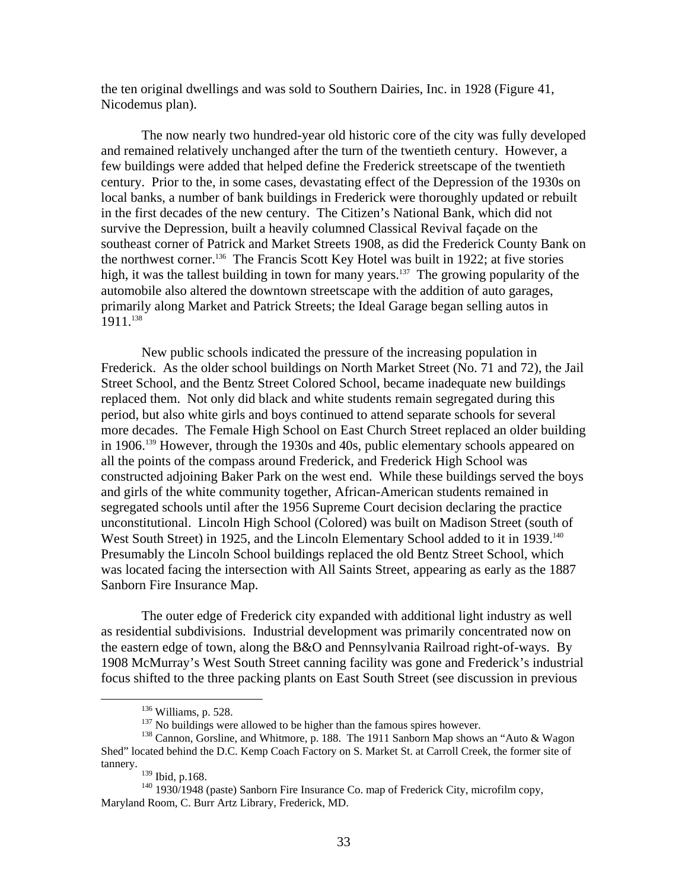the ten original dwellings and was sold to Southern Dairies, Inc. in 1928 (Figure 41, Nicodemus plan).

The now nearly two hundred-year old historic core of the city was fully developed and remained relatively unchanged after the turn of the twentieth century. However, a few buildings were added that helped define the Frederick streetscape of the twentieth century. Prior to the, in some cases, devastating effect of the Depression of the 1930s on local banks, a number of bank buildings in Frederick were thoroughly updated or rebuilt in the first decades of the new century. The Citizen's National Bank, which did not survive the Depression, built a heavily columned Classical Revival façade on the southeast corner of Patrick and Market Streets 1908, as did the Frederick County Bank on the northwest corner.<sup>136</sup> The Francis Scott Key Hotel was built in 1922; at five stories high, it was the tallest building in town for many years.<sup>137</sup> The growing popularity of the automobile also altered the downtown streetscape with the addition of auto garages, primarily along Market and Patrick Streets; the Ideal Garage began selling autos in 1911.[138](#page-34-2) 

New public schools indicated the pressure of the increasing population in Frederick. As the older school buildings on North Market Street (No. 71 and 72), the Jail Street School, and the Bentz Street Colored School, became inadequate new buildings replaced them. Not only did black and white students remain segregated during this period, but also white girls and boys continued to attend separate schools for several more decades. The Female High School on East Church Street replaced an older building in 1906.<sup>139</sup> However, through the 1930s and 40s, public elementary schools appeared on all the points of the compass around Frederick, and Frederick High School was constructed adjoining Baker Park on the west end. While these buildings served the boys and girls of the white community together, African-American students remained in segregated schools until after the 1956 Supreme Court decision declaring the practice unconstitutional. Lincoln High School (Colored) was built on Madison Street (south of West South Street) in 1925, and the Lincoln Elementary School added to it in 1939.<sup>140</sup> Presumably the Lincoln School buildings replaced the old Bentz Street School, which was located facing the intersection with All Saints Street, appearing as early as the 1887 Sanborn Fire Insurance Map.

The outer edge of Frederick city expanded with additional light industry as well as residential subdivisions. Industrial development was primarily concentrated now on the eastern edge of town, along the B&O and Pennsylvania Railroad right-of-ways. By 1908 McMurray's West South Street canning facility was gone and Frederick's industrial focus shifted to the three packing plants on East South Street (see discussion in previous

<span id="page-34-0"></span>

<span id="page-34-2"></span><span id="page-34-1"></span>

<sup>&</sup>lt;sup>136</sup> Williams, p. 528.<br><sup>137</sup> No buildings were allowed to be higher than the famous spires however.<br><sup>138</sup> Cannon, Gorsline, and Whitmore, p. 188. The 1911 Sanborn Map shows an "Auto & Wagon Shed" located behind the D.C. Kemp Coach Factory on S. Market St. at Carroll Creek, the former site of tannery.  $\frac{139}{139}$  Ibid, p.168.

<span id="page-34-4"></span><span id="page-34-3"></span>

<sup>&</sup>lt;sup>140</sup> 1930/1948 (paste) Sanborn Fire Insurance Co. map of Frederick City, microfilm copy, Maryland Room, C. Burr Artz Library, Frederick, MD.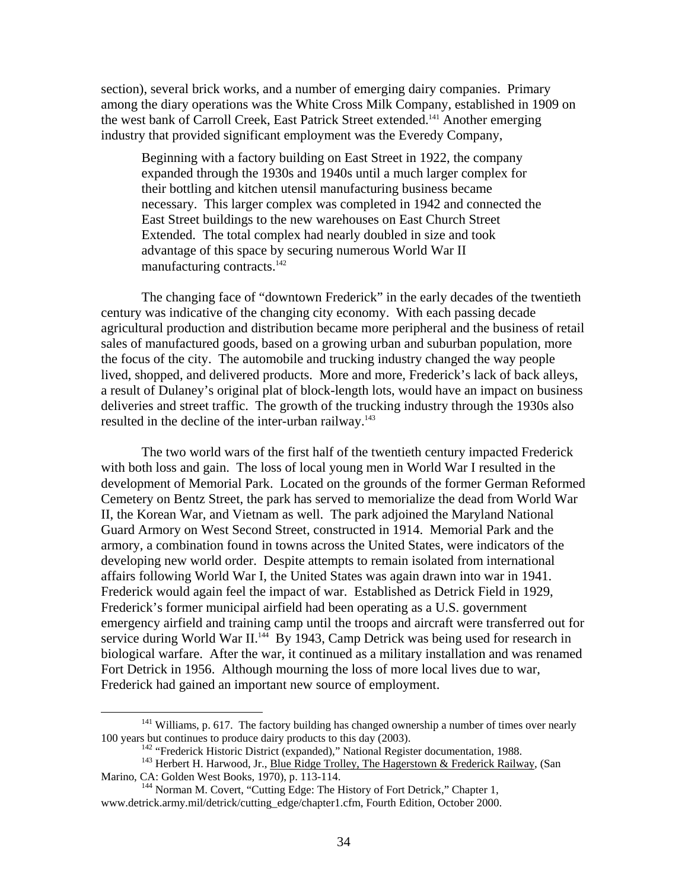section), several brick works, and a number of emerging dairy companies. Primary among the diary operations was the White Cross Milk Company, established in 1909 on the west bank of Carroll Creek, East Patrick Street extended.<sup>141</sup> Another emerging industry that provided significant employment was the Everedy Company,

Beginning with a factory building on East Street in 1922, the company expanded through the 1930s and 1940s until a much larger complex for their bottling and kitchen utensil manufacturing business became necessary. This larger complex was completed in 1942 and connected the East Street buildings to the new warehouses on East Church Street Extended. The total complex had nearly doubled in size and took advantage of this space by securing numerous World War II manufacturing contracts.<sup>142</sup>

The changing face of "downtown Frederick" in the early decades of the twentieth century was indicative of the changing city economy. With each passing decade agricultural production and distribution became more peripheral and the business of retail sales of manufactured goods, based on a growing urban and suburban population, more the focus of the city. The automobile and trucking industry changed the way people lived, shopped, and delivered products. More and more, Frederick's lack of back alleys, a result of Dulaney's original plat of block-length lots, would have an impact on business deliveries and street traffic. The growth of the trucking industry through the 1930s also resulted in the decline of the inter-urban railway.<sup>[143](#page-35-2)</sup>

The two world wars of the first half of the twentieth century impacted Frederick with both loss and gain. The loss of local young men in World War I resulted in the development of Memorial Park. Located on the grounds of the former German Reformed Cemetery on Bentz Street, the park has served to memorialize the dead from World War II, the Korean War, and Vietnam as well. The park adjoined the Maryland National Guard Armory on West Second Street, constructed in 1914. Memorial Park and the armory, a combination found in towns across the United States, were indicators of the developing new world order. Despite attempts to remain isolated from international affairs following World War I, the United States was again drawn into war in 1941. Frederick would again feel the impact of war. Established as Detrick Field in 1929, Frederick's former municipal airfield had been operating as a U.S. government emergency airfield and training camp until the troops and aircraft were transferred out for service during World War II.<sup>144</sup> By 1943, Camp Detrick was being used for research in biological warfare. After the war, it continued as a military installation and was renamed Fort Detrick in 1956. Although mourning the loss of more local lives due to war, Frederick had gained an important new source of employment.

<sup>&</sup>lt;sup>141</sup> Williams, p. 617. The factory building has changed ownership a number of times over nearly 100 years but continues to produce dairy products to this day  $(2003)$ .

<span id="page-35-3"></span><span id="page-35-2"></span><span id="page-35-1"></span><span id="page-35-0"></span>

<sup>&</sup>lt;sup>142</sup> "Frederick Historic District (expanded)," National Register documentation, 1988.<br><sup>143</sup> Herbert H. Harwood, Jr., <u>Blue Ridge Trolley, The Hagerstown & Frederick Railway</u>, (San Marino, CA: Golden West Books, 1970), p.

<sup>&</sup>lt;sup>144</sup> Norman M. Covert, "Cutting Edge: The History of Fort Detrick," Chapter 1, www.detrick.army.mil/detrick/cutting\_edge/chapter1.cfm, Fourth Edition, October 2000.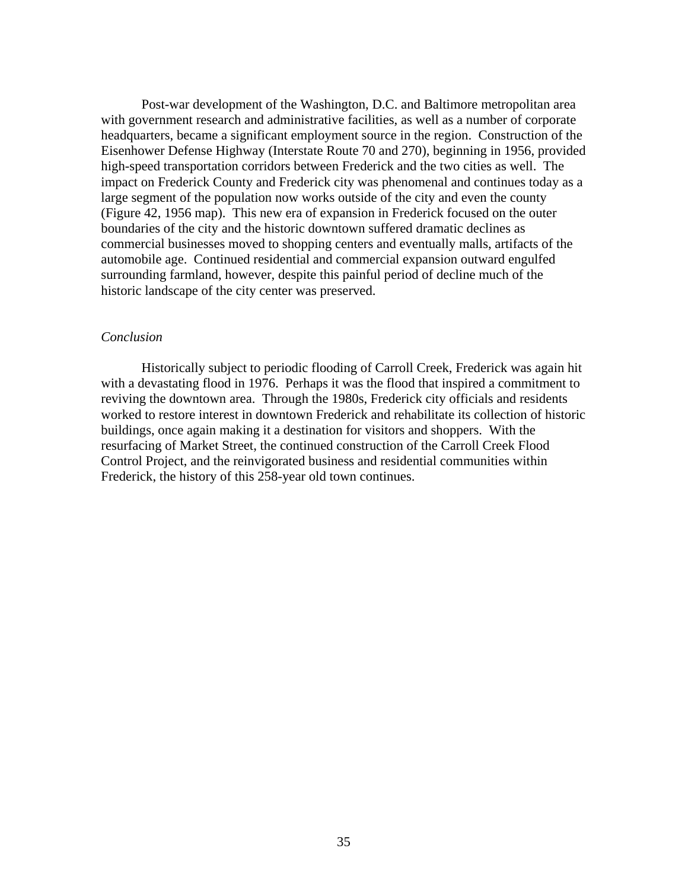Post-war development of the Washington, D.C. and Baltimore metropolitan area with government research and administrative facilities, as well as a number of corporate headquarters, became a significant employment source in the region. Construction of the Eisenhower Defense Highway (Interstate Route 70 and 270), beginning in 1956, provided high-speed transportation corridors between Frederick and the two cities as well. The impact on Frederick County and Frederick city was phenomenal and continues today as a large segment of the population now works outside of the city and even the county (Figure 42, 1956 map). This new era of expansion in Frederick focused on the outer boundaries of the city and the historic downtown suffered dramatic declines as commercial businesses moved to shopping centers and eventually malls, artifacts of the automobile age. Continued residential and commercial expansion outward engulfed surrounding farmland, however, despite this painful period of decline much of the historic landscape of the city center was preserved.

#### *Conclusion*

Historically subject to periodic flooding of Carroll Creek, Frederick was again hit with a devastating flood in 1976. Perhaps it was the flood that inspired a commitment to reviving the downtown area. Through the 1980s, Frederick city officials and residents worked to restore interest in downtown Frederick and rehabilitate its collection of historic buildings, once again making it a destination for visitors and shoppers. With the resurfacing of Market Street, the continued construction of the Carroll Creek Flood Control Project, and the reinvigorated business and residential communities within Frederick, the history of this 258-year old town continues.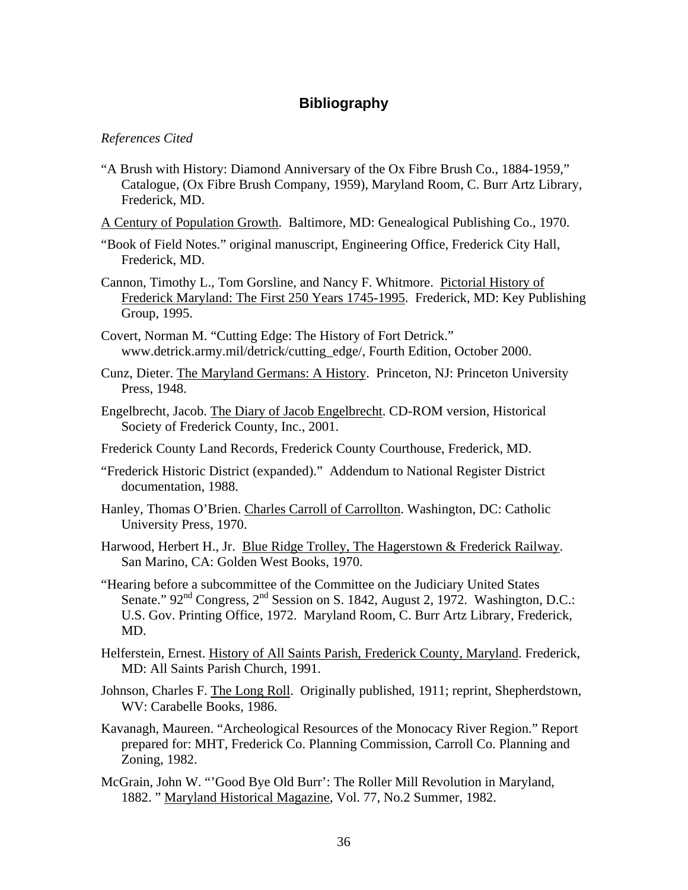# **Bibliography**

## *References Cited*

- "A Brush with History: Diamond Anniversary of the Ox Fibre Brush Co., 1884-1959," Catalogue, (Ox Fibre Brush Company, 1959), Maryland Room, C. Burr Artz Library, Frederick, MD.
- A Century of Population Growth. Baltimore, MD: Genealogical Publishing Co., 1970.
- "Book of Field Notes." original manuscript, Engineering Office, Frederick City Hall, Frederick, MD.
- Cannon, Timothy L., Tom Gorsline, and Nancy F. Whitmore. Pictorial History of Frederick Maryland: The First 250 Years 1745-1995. Frederick, MD: Key Publishing Group, 1995.
- Covert, Norman M. "Cutting Edge: The History of Fort Detrick." www.detrick.army.mil/detrick/cutting\_edge/, Fourth Edition, October 2000.
- Cunz, Dieter. The Maryland Germans: A History. Princeton, NJ: Princeton University Press, 1948.
- Engelbrecht, Jacob. The Diary of Jacob Engelbrecht. CD-ROM version, Historical Society of Frederick County, Inc., 2001.
- Frederick County Land Records, Frederick County Courthouse, Frederick, MD.
- "Frederick Historic District (expanded)." Addendum to National Register District documentation, 1988.
- Hanley, Thomas O'Brien. Charles Carroll of Carrollton. Washington, DC: Catholic University Press, 1970.
- Harwood, Herbert H., Jr. Blue Ridge Trolley, The Hagerstown & Frederick Railway. San Marino, CA: Golden West Books, 1970.
- "Hearing before a subcommittee of the Committee on the Judiciary United States Senate."  $92<sup>nd</sup>$  Congress,  $2<sup>nd</sup>$  Session on S. 1842, August 2, 1972. Washington, D.C.: U.S. Gov. Printing Office, 1972. Maryland Room, C. Burr Artz Library, Frederick, MD.
- Helferstein, Ernest. History of All Saints Parish, Frederick County, Maryland. Frederick, MD: All Saints Parish Church, 1991.
- Johnson, Charles F. The Long Roll. Originally published, 1911; reprint, Shepherdstown, WV: Carabelle Books, 1986.
- Kavanagh, Maureen. "Archeological Resources of the Monocacy River Region." Report prepared for: MHT, Frederick Co. Planning Commission, Carroll Co. Planning and Zoning, 1982.
- McGrain, John W. "'Good Bye Old Burr': The Roller Mill Revolution in Maryland, 1882. " Maryland Historical Magazine, Vol. 77, No.2 Summer, 1982.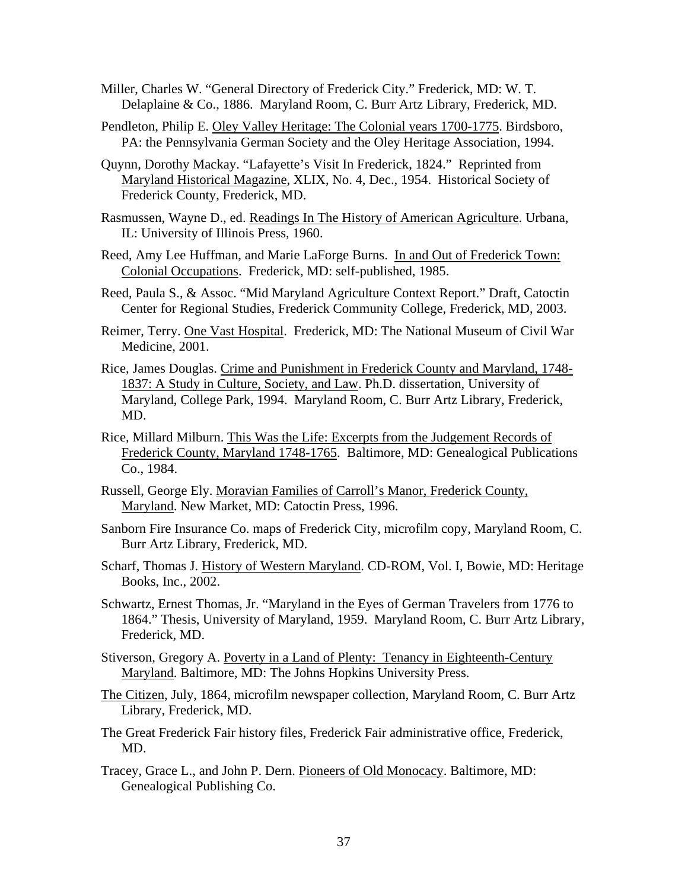- Miller, Charles W. "General Directory of Frederick City." Frederick, MD: W. T. Delaplaine & Co., 1886. Maryland Room, C. Burr Artz Library, Frederick, MD.
- Pendleton, Philip E. Oley Valley Heritage: The Colonial years 1700-1775. Birdsboro, PA: the Pennsylvania German Society and the Oley Heritage Association, 1994.
- Quynn, Dorothy Mackay. "Lafayette's Visit In Frederick, 1824." Reprinted from Maryland Historical Magazine, XLIX, No. 4, Dec., 1954. Historical Society of Frederick County, Frederick, MD.
- Rasmussen, Wayne D., ed. Readings In The History of American Agriculture. Urbana, IL: University of Illinois Press, 1960.
- Reed, Amy Lee Huffman, and Marie LaForge Burns. In and Out of Frederick Town: Colonial Occupations. Frederick, MD: self-published, 1985.
- Reed, Paula S., & Assoc. "Mid Maryland Agriculture Context Report." Draft, Catoctin Center for Regional Studies, Frederick Community College, Frederick, MD, 2003.
- Reimer, Terry. One Vast Hospital. Frederick, MD: The National Museum of Civil War Medicine, 2001.
- Rice, James Douglas. Crime and Punishment in Frederick County and Maryland, 1748- 1837: A Study in Culture, Society, and Law. Ph.D. dissertation, University of Maryland, College Park, 1994. Maryland Room, C. Burr Artz Library, Frederick, MD.
- Rice, Millard Milburn. This Was the Life: Excerpts from the Judgement Records of Frederick County, Maryland 1748-1765. Baltimore, MD: Genealogical Publications Co., 1984.
- Russell, George Ely. Moravian Families of Carroll's Manor, Frederick County, Maryland. New Market, MD: Catoctin Press, 1996.
- Sanborn Fire Insurance Co. maps of Frederick City, microfilm copy, Maryland Room, C. Burr Artz Library, Frederick, MD.
- Scharf, Thomas J. History of Western Maryland. CD-ROM, Vol. I, Bowie, MD: Heritage Books, Inc., 2002.
- Schwartz, Ernest Thomas, Jr. "Maryland in the Eyes of German Travelers from 1776 to 1864." Thesis, University of Maryland, 1959. Maryland Room, C. Burr Artz Library, Frederick, MD.
- Stiverson, Gregory A. Poverty in a Land of Plenty: Tenancy in Eighteenth-Century Maryland. Baltimore, MD: The Johns Hopkins University Press.
- The Citizen, July, 1864, microfilm newspaper collection, Maryland Room, C. Burr Artz Library, Frederick, MD.
- The Great Frederick Fair history files, Frederick Fair administrative office, Frederick, MD.
- Tracey, Grace L., and John P. Dern. Pioneers of Old Monocacy. Baltimore, MD: Genealogical Publishing Co.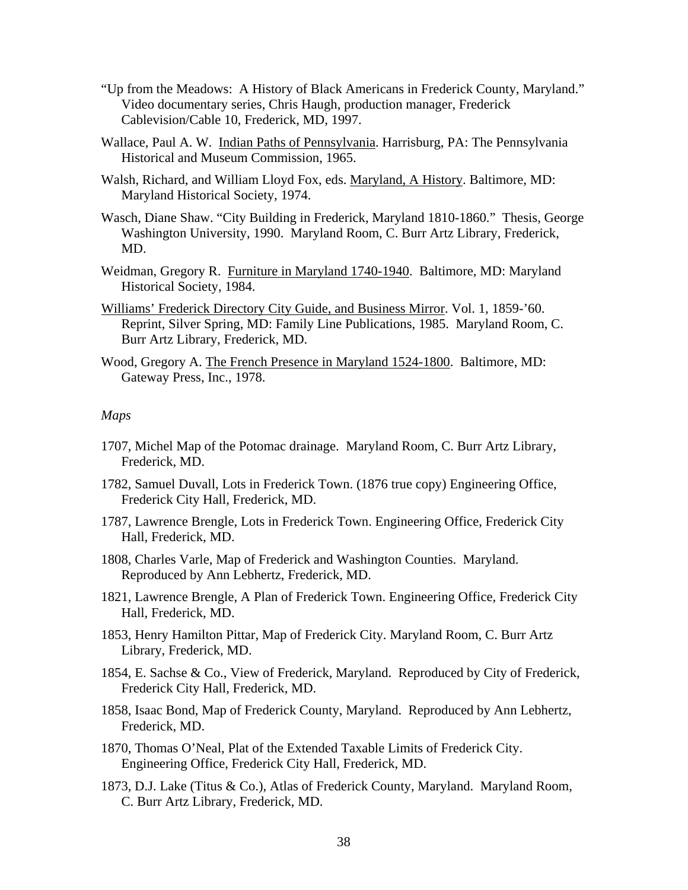- "Up from the Meadows: A History of Black Americans in Frederick County, Maryland." Video documentary series, Chris Haugh, production manager, Frederick Cablevision/Cable 10, Frederick, MD, 1997.
- Wallace, Paul A. W. Indian Paths of Pennsylvania. Harrisburg, PA: The Pennsylvania Historical and Museum Commission, 1965.
- Walsh, Richard, and William Lloyd Fox, eds. Maryland, A History. Baltimore, MD: Maryland Historical Society, 1974.
- Wasch, Diane Shaw. "City Building in Frederick, Maryland 1810-1860." Thesis, George Washington University, 1990. Maryland Room, C. Burr Artz Library, Frederick, MD.
- Weidman, Gregory R. Furniture in Maryland 1740-1940. Baltimore, MD: Maryland Historical Society, 1984.
- Williams' Frederick Directory City Guide, and Business Mirror. Vol. 1, 1859-'60. Reprint, Silver Spring, MD: Family Line Publications, 1985. Maryland Room, C. Burr Artz Library, Frederick, MD.
- Wood, Gregory A. The French Presence in Maryland 1524-1800. Baltimore, MD: Gateway Press, Inc., 1978.

## *Maps*

- 1707, Michel Map of the Potomac drainage. Maryland Room, C. Burr Artz Library, Frederick, MD.
- 1782, Samuel Duvall, Lots in Frederick Town. (1876 true copy) Engineering Office, Frederick City Hall, Frederick, MD.
- 1787, Lawrence Brengle, Lots in Frederick Town. Engineering Office, Frederick City Hall, Frederick, MD.
- 1808, Charles Varle, Map of Frederick and Washington Counties. Maryland. Reproduced by Ann Lebhertz, Frederick, MD.
- 1821, Lawrence Brengle, A Plan of Frederick Town. Engineering Office, Frederick City Hall, Frederick, MD.
- 1853, Henry Hamilton Pittar, Map of Frederick City. Maryland Room, C. Burr Artz Library, Frederick, MD.
- 1854, E. Sachse & Co., View of Frederick, Maryland. Reproduced by City of Frederick, Frederick City Hall, Frederick, MD.
- 1858, Isaac Bond, Map of Frederick County, Maryland. Reproduced by Ann Lebhertz, Frederick, MD.
- 1870, Thomas O'Neal, Plat of the Extended Taxable Limits of Frederick City. Engineering Office, Frederick City Hall, Frederick, MD.
- 1873, D.J. Lake (Titus & Co.), Atlas of Frederick County, Maryland. Maryland Room, C. Burr Artz Library, Frederick, MD.